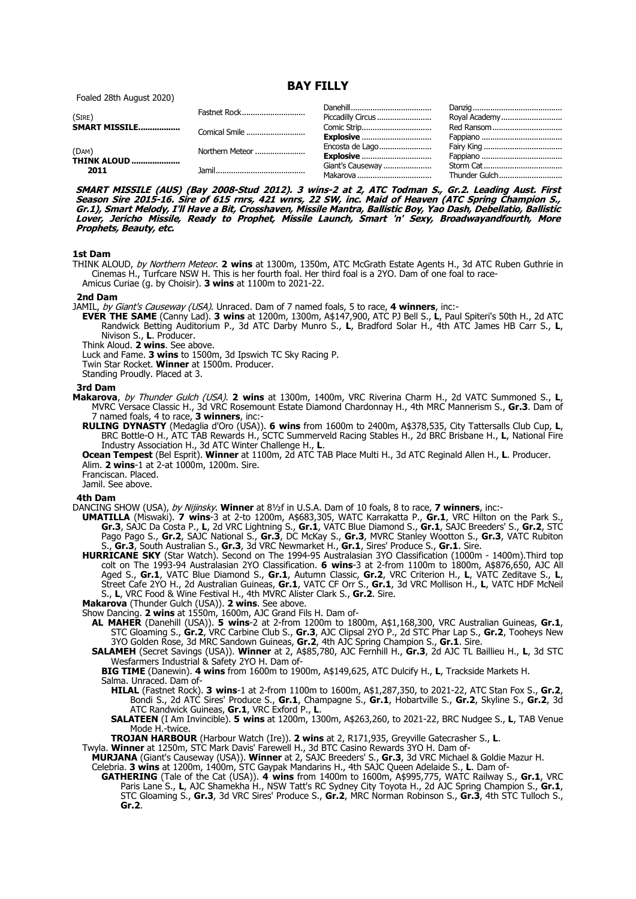**BAY FILLY**

| (SIRE)                               | Fastnet Rock    | Piccadilly Circus | Royal Academy |
|--------------------------------------|-----------------|-------------------|---------------|
| <b>SMART MISSILE</b>                 | Comical Smile   |                   | Red Ransom    |
|                                      |                 | <b>Explosive </b> |               |
| (DAM)<br><b>THINK ALOUD </b><br>2011 | Northern Meteor | Encosta de Lago   |               |
|                                      |                 | <b>Explosive </b> |               |
|                                      |                 | Giant's Causeway  |               |
|                                      |                 | Makarova          | Thunder Gulch |

**SMART MISSILE (AUS) (Bay 2008-Stud 2012). 3 wins-2 at 2, ATC Todman S., Gr.2. Leading Aust. First Season Sire 2015-16. Sire of 615 rnrs, 421 wnrs, 22 SW, inc. Maid of Heaven (ATC Spring Champion S., Gr.1), Smart Melody, I'll Have a Bit, Crosshaven, Missile Mantra, Ballistic Boy, Yao Dash, Debellatio, Ballistic Lover, Jericho Missile, Ready to Prophet, Missile Launch, Smart 'n' Sexy, Broadwayandfourth, More Prophets, Beauty, etc.**

# **1st Dam**

THINK ALOUD, by Northern Meteor. **2 wins** at 1300m, 1350m, ATC McGrath Estate Agents H., 3d ATC Ruben Guthrie in Cinemas H., Turfcare NSW H. This is her fourth foal. Her third foal is a 2YO. Dam of one foal to race-Amicus Curiae (g. by Choisir). **3 wins** at 1100m to 2021-22.

### **2nd Dam**

JAMIL, by Giant's Causeway (USA). Unraced. Dam of 7 named foals, 5 to race, **4 winners**, inc:-

**EVER THE SAME** (Canny Lad). **3 wins** at 1200m, 1300m, A\$147,900, ATC PJ Bell S., **L**, Paul Spiteri's 50th H., 2d ATC Randwick Betting Auditorium P., 3d ATC Darby Munro S., **L**, Bradford Solar H., 4th ATC James HB Carr S., **L**, Nivison S., **L**. Producer.

Think Aloud. **2 wins**. See above.

Luck and Fame. **3 wins** to 1500m, 3d Ipswich TC Sky Racing P.

Twin Star Rocket. **Winner** at 1500m. Producer.

Standing Proudly. Placed at 3.

# **3rd Dam**

- **Makarova**, by Thunder Gulch (USA). **2 wins** at 1300m, 1400m, VRC Riverina Charm H., 2d VATC Summoned S., **L**, MVRC Versace Classic H., 3d VRC Rosemount Estate Diamond Chardonnay H., 4th MRC Mannerism S., **Gr.3**. Dam of 7 named foals, 4 to race, **3 winners**, inc:-
	- **RULING DYNASTY** (Medaglia d'Oro (USA)). **6 wins** from 1600m to 2400m, A\$378,535, City Tattersalls Club Cup, **L**, BRC Bottle-O H., ATC TAB Rewards H., SCTC Summerveld Racing Stables H., 2d BRC Brisbane H., **L**, National Fire Industry Association H., 3d ATC Winter Challenge H., **L**.

**Ocean Tempest** (Bel Esprit). **Winner** at 1100m, 2d ATC TAB Place Multi H., 3d ATC Reginald Allen H., **L**. Producer. Alim. **2 wins**-1 at 2-at 1000m, 1200m. Sire.

Franciscan. Placed.

Jamil. See above.

### **4th Dam**

- DANCING SHOW (USA), by Nijinsky. **Winner** at 8½f in U.S.A. Dam of 10 foals, 8 to race, **7 winners**, inc:-
	- **UMATILLA** (Miswaki). **7 wins**-3 at 2-to 1200m, A\$683,305, WATC Karrakatta P., **Gr.1**, VRC Hilton on the Park S., **Gr.3**, SAJC Da Costa P., **L**, 2d VRC Lightning S., **Gr.1**, VATC Blue Diamond S., **Gr.1**, SAJC Breeders' S., **Gr.2**, STC Pago Pago S., **Gr.2**, SAJC National S., **Gr.3**, DC McKay S., **Gr.3**, MVRC Stanley Wootton S., **Gr.3**, VATC Rubiton S., **Gr.3**, South Australian S., **Gr.3**, 3d VRC Newmarket H., **Gr.1**, Sires' Produce S., **Gr.1**. Sire.
	- **HURRICANE SKY** (Star Watch). Second on The 1994-95 Australasian 3YO Classification (1000m 1400m).Third top colt on The 1993-94 Australasian 2YO Classification. **6 wins**-3 at 2-from 1100m to 1800m, A\$876,650, AJC All Aged S., **Gr.1**, VATC Blue Diamond S., **Gr.1**, Autumn Classic, **Gr.2**, VRC Criterion H., **L**, VATC Zeditave S., **L**, Street Cafe 2YO H., 2d Australian Guineas, **Gr.1**, VATC CF Orr S., **Gr.1**, 3d VRC Mollison H., **L**, VATC HDF McNeil S., **L**, VRC Food & Wine Festival H., 4th MVRC Alister Clark S., **Gr.2**. Sire.
	- **Makarova** (Thunder Gulch (USA)). **2 wins**. See above.
	- Show Dancing. **2 wins** at 1550m, 1600m, AJC Grand Fils H. Dam of-
		- **AL MAHER** (Danehill (USA)). **5 wins**-2 at 2-from 1200m to 1800m, A\$1,168,300, VRC Australian Guineas, **Gr.1**, STC Gloaming S., **Gr.2**, VRC Carbine Club S., **Gr.3**, AJC Clipsal 2YO P., 2d STC Phar Lap S., **Gr.2**, Tooheys New 3YO Golden Rose, 3d MRC Sandown Guineas, **Gr.2**, 4th AJC Spring Champion S., **Gr.1**. Sire.
		- **SALAMEH** (Secret Savings (USA)). **Winner** at 2, A\$85,780, AJC Fernhill H., **Gr.3**, 2d AJC TL Baillieu H., **L**, 3d STC Wesfarmers Industrial & Safety 2YO H. Dam of-

**BIG TIME** (Danewin). **4 wins** from 1600m to 1900m, A\$149,625, ATC Dulcify H., **L**, Trackside Markets H.

- Salma. Unraced. Dam of-
- **HILAL** (Fastnet Rock). **3 wins**-1 at 2-from 1100m to 1600m, A\$1,287,350, to 2021-22, ATC Stan Fox S., **Gr.2**, Bondi S., 2d ATC Sires' Produce S., **Gr.1**, Champagne S., **Gr.1**, Hobartville S., **Gr.2**, Skyline S., **Gr.2**, 3d ATC Randwick Guineas, **Gr.1**, VRC Exford P., **L**.
- **SALATEEN** (I Am Invincible). **5 wins** at 1200m, 1300m, A\$263,260, to 2021-22, BRC Nudgee S., **L**, TAB Venue Mode H.-twice.
- **TROJAN HARBOUR** (Harbour Watch (Ire)). **2 wins** at 2, R171,935, Greyville Gatecrasher S., **L**.

Twyla. **Winner** at 1250m, STC Mark Davis' Farewell H., 3d BTC Casino Rewards 3YO H. Dam of-

- **MURJANA** (Giant's Causeway (USA)). **Winner** at 2, SAJC Breeders' S., **Gr.3**, 3d VRC Michael & Goldie Mazur H.
- Celebria. **3 wins** at 1200m, 1400m, STC Gaypak Mandarins H., 4th SAJC Queen Adelaide S., **L**. Dam of-
	- **GATHERING** (Tale of the Cat (USA)). **4 wins** from 1400m to 1600m, A\$995,775, WATC Railway S., **Gr.1**, VRC Paris Lane S., **L**, AJC Shamekha H., NSW Tatt's RC Sydney City Toyota H., 2d AJC Spring Champion S., **Gr.1**, STC Gloaming S., **Gr.3**, 3d VRC Sires' Produce S., **Gr.2**, MRC Norman Robinson S., **Gr.3**, 4th STC Tulloch S., **Gr.2**.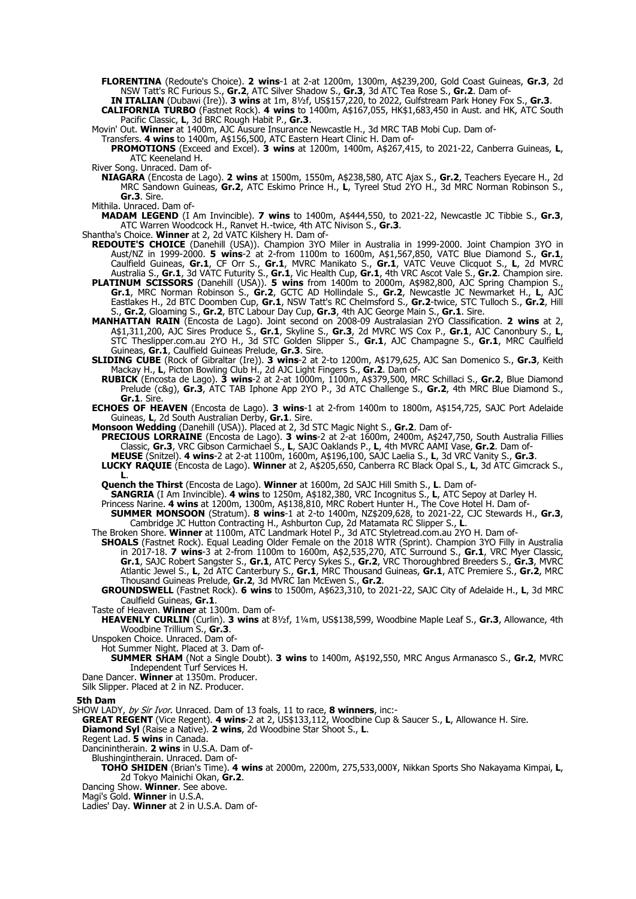**FLORENTINA** (Redoute's Choice). **2 wins**-1 at 2-at 1200m, 1300m, A\$239,200, Gold Coast Guineas, **Gr.3**, 2d NSW Tatt's RC Furious S., **Gr.2**, ATC Silver Shadow S., **Gr.3**, 3d ATC Tea Rose S., **Gr.2**. Dam of-

**IN ITALIAN** (Dubawi (Ire)). **3 wins** at 1m, 8½f, US\$157,220, to 2022, Gulfstream Park Honey Fox S., **Gr.3**. **CALIFORNIA TURBO** (Fastnet Rock). **4 wins** to 1400m, A\$167,055, HK\$1,683,450 in Aust. and HK, ATC South Pacific Classic, **L**, 3d BRC Rough Habit P., **Gr.3**.

Movin' Out. **Winner** at 1400m, AJC Ausure Insurance Newcastle H., 3d MRC TAB Mobi Cup. Dam of-

Transfers. **4 wins** to 1400m, A\$156,500, ATC Eastern Heart Clinic H. Dam of-

**PROMOTIONS** (Exceed and Excel). **3 wins** at 1200m, 1400m, A\$267,415, to 2021-22, Canberra Guineas, **L**, ATC Keeneland H.

River Song. Unraced. Dam of-

**NIAGARA** (Encosta de Lago). **2 wins** at 1500m, 1550m, A\$238,580, ATC Ajax S., **Gr.2**, Teachers Eyecare H., 2d MRC Sandown Guineas, **Gr.2**, ATC Eskimo Prince H., **L**, Tyreel Stud 2YO H., 3d MRC Norman Robinson S., **Gr.3**. Sire.

Mithila. Unraced. Dam of-

**MADAM LEGEND** (I Am Invincible). **7 wins** to 1400m, A\$444,550, to 2021-22, Newcastle JC Tibbie S., **Gr.3**, ATC Warren Woodcock H., Ranvet H.-twice, 4th ATC Nivison S., **Gr.3**.

Shantha's Choice. **Winner** at 2, 2d VATC Kilshery H. Dam of-

- **REDOUTE'S CHOICE** (Danehill (USA)). Champion 3YO Miler in Australia in 1999-2000. Joint Champion 3YO in Aust/NZ in 1999-2000. **5 wins**-2 at 2-from 1100m to 1600m, A\$1,567,850, VATC Blue Diamond S., **Gr.1**, Caulfield Guineas, **Gr.1**, CF Orr S., **Gr.1**, MVRC Manikato S., **Gr.1**, VATC Veuve Clicquot S., **L**, 2d MVRC Australia S., **Gr.1**, 3d VATC Futurity S., **Gr.1**, Vic Health Cup, **Gr.1**, 4th VRC Ascot Vale S., **Gr.2**. Champion sire.
- **PLATINUM SCISSORS** (Danehill (USA)). **5 wins** from 1400m to 2000m, A\$982,800, AJC Spring Champion S., **Gr.1**, MRC Norman Robinson S., **Gr.2**, GCTC AD Hollindale S., **Gr.2**, Newcastle JC Newmarket H., **L**, AJC Eastlakes H., 2d BTC Doomben Cup, **Gr.1**, NSW Tatt's RC Chelmsford S., **Gr.2**-twice, STC Tulloch S., **Gr.2**, Hill S., **Gr.2**, Gloaming S., **Gr.2**, BTC Labour Day Cup, **Gr.3**, 4th AJC George Main S., **Gr.1**. Sire.
- **MANHATTAN RAIN** (Encosta de Lago). Joint second on 2008-09 Australasian 2YO Classification. **2 wins** at 2, A\$1,311,200, AJC Sires Produce S., **Gr.1**, Skyline S., **Gr.3**, 2d MVRC WS Cox P., **Gr.1**, AJC Canonbury S., **L**, STC Theslipper.com.au 2YO H., 3d STC Golden Slipper S., **Gr.1**, AJC Champagne S., **Gr.1**, MRC Caulfield Guineas, **Gr.1**, Caulfield Guineas Prelude, **Gr.3**. Sire.

**SLIDING CUBE** (Rock of Gibraltar (Ire)). **3 wins**-2 at 2-to 1200m, A\$179,625, AJC San Domenico S., **Gr.3**, Keith Mackay H., **L**, Picton Bowling Club H., 2d AJC Light Fingers S., **Gr.2**. Dam of-

**RUBICK** (Encosta de Lago). **3 wins**-2 at 2-at 1000m, 1100m, A\$379,500, MRC Schillaci S., **Gr.2**, Blue Diamond Prelude (c&g), **Gr.3**, ATC TAB Iphone App 2YO P., 3d ATC Challenge S., **Gr.2**, 4th MRC Blue Diamond S., **Gr.1**. Sire.

**ECHOES OF HEAVEN** (Encosta de Lago). **3 wins**-1 at 2-from 1400m to 1800m, A\$154,725, SAJC Port Adelaide Guineas, **L**, 2d South Australian Derby, **Gr.1**. Sire.

**Monsoon Wedding** (Danehill (USA)). Placed at 2, 3d STC Magic Night S., **Gr.2**. Dam of-

**PRECIOUS LORRAINE** (Encosta de Lago). **3 wins**-2 at 2-at 1600m, 2400m, A\$247,750, South Australia Fillies Classic, **Gr.3**, VRC Gibson Carmichael S., **L**, SAJC Oaklands P., **L**, 4th MVRC AAMI Vase, **Gr.2**. Dam of-

**MEUSE** (Snitzel). **4 wins**-2 at 2-at 1100m, 1600m, A\$196,100, SAJC Laelia S., **L**, 3d VRC Vanity S., **Gr.3**.

**LUCKY RAQUIE** (Encosta de Lago). **Winner** at 2, A\$205,650, Canberra RC Black Opal S., **L**, 3d ATC Gimcrack S., **L**.

**Quench the Thirst** (Encosta de Lago). **Winner** at 1600m, 2d SAJC Hill Smith S., **L**. Dam of-

**SANGRIA** (I Am Invincible). **4 wins** to 1250m, A\$182,380, VRC Incognitus S., **L**, ATC Sepoy at Darley H.

Princess Narine. **4 wins** at 1200m, 1300m, A\$138,810, MRC Robert Hunter H., The Cove Hotel H. Dam of-

**SUMMER MONSOON** (Stratum). **8 wins**-1 at 2-to 1400m, NZ\$209,628, to 2021-22, CJC Stewards H., **Gr.3**, Cambridge JC Hutton Contracting H., Ashburton Cup, 2d Matamata RC Slipper S., **L**.

The Broken Shore. **Winner** at 1100m, ATC Landmark Hotel P., 3d ATC Styletread.com.au 2YO H. Dam of-

**SHOALS** (Fastnet Rock). Equal Leading Older Female on the 2018 WTR (Sprint). Champion 3YO Filly in Australia in 2017-18. **7 wins**-3 at 2-from 1100m to 1600m, A\$2,535,270, ATC Surround S., **Gr.1**, VRC Myer Classic, **Gr.1**, SAJC Robert Sangster S., **Gr.1**, ATC Percy Sykes S., **Gr.2**, VRC Thoroughbred Breeders S., **Gr.3**, MVRC Atlantic Jewel S., **L**, 2d ATC Canterbury S., **Gr.1**, MRC Thousand Guineas, **Gr.1**, ATC Premiere S., **Gr.2**, MRC Thousand Guineas Prelude, **Gr.2**, 3d MVRC Ian McEwen S., **Gr.2**.

## **GROUNDSWELL** (Fastnet Rock). **6 wins** to 1500m, A\$623,310, to 2021-22, SAJC City of Adelaide H., **L**, 3d MRC Caulfield Guineas, **Gr.1**.

Taste of Heaven. **Winner** at 1300m. Dam of-

**HEAVENLY CURLIN** (Curlin). **3 wins** at 8½f, 1¼m, US\$138,599, Woodbine Maple Leaf S., **Gr.3**, Allowance, 4th Woodbine Trillium S., **Gr.3**.

Unspoken Choice. Unraced. Dam of-

Hot Summer Night. Placed at 3. Dam of-

**SUMMER SHAM** (Not a Single Doubt). **3 wins** to 1400m, A\$192,550, MRC Angus Armanasco S., **Gr.2**, MVRC Independent Turf Services H.

Dane Dancer. **Winner** at 1350m. Producer.

Silk Slipper. Placed at 2 in NZ. Producer.

#### **5th Dam**

SHOW LADY, by Sir Ivor. Unraced. Dam of 13 foals, 11 to race, **8 winners**, inc:-

**GREAT REGENT** (Vice Regent). **4 wins**-2 at 2, US\$133,112, Woodbine Cup & Saucer S., **L**, Allowance H. Sire.

**Diamond Syl** (Raise a Native). **2 wins**, 2d Woodbine Star Shoot S., **L**.

Regent Lad. **5 wins** in Canada.

Dancinintherain. **2 wins** in U.S.A. Dam of-

Blushingintherain. Unraced. Dam of-

**TOHO SHIDEN** (Brian's Time). **4 wins** at 2000m, 2200m, 275,533,000¥, Nikkan Sports Sho Nakayama Kimpai, **L**, 2d Tokyo Mainichi Okan, **Gr.2**.

Dancing Show. **Winner**. See above.

Magi's Gold. **Winner** in U.S.A.

Ladies' Day. **Winner** at 2 in U.S.A. Dam of-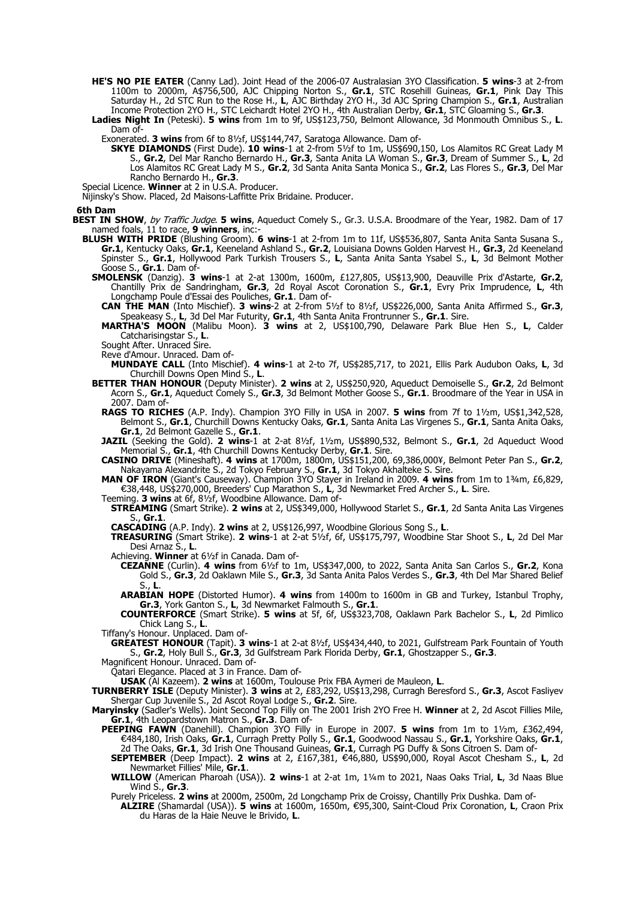**HE'S NO PIE EATER** (Canny Lad). Joint Head of the 2006-07 Australasian 3YO Classification. **5 wins**-3 at 2-from 1100m to 2000m, A\$756,500, AJC Chipping Norton S., **Gr.1**, STC Rosehill Guineas, **Gr.1**, Pink Day This Saturday H., 2d STC Run to the Rose H., **L**, AJC Birthday 2YO H., 3d AJC Spring Champion S., **Gr.1**, Australian Income Protection 2YO H., STC Leichardt Hotel 2YO H., 4th Australian Derby, **Gr.1**, STC Gloaming S., **Gr.3**.

**Ladies Night In** (Peteski). **5 wins** from 1m to 9f, US\$123,750, Belmont Allowance, 3d Monmouth Omnibus S., **L**. Dam of-

Exonerated. **3 wins** from 6f to 8½f, US\$144,747, Saratoga Allowance. Dam of-

**SKYE DIAMONDS** (First Dude). **10 wins**-1 at 2-from 5½f to 1m, US\$690,150, Los Alamitos RC Great Lady M S., **Gr.2**, Del Mar Rancho Bernardo H., **Gr.3**, Santa Anita LA Woman S., **Gr.3**, Dream of Summer S., **L**, 2d Los Alamitos RC Great Lady M S., **Gr.2**, 3d Santa Anita Santa Monica S., **Gr.2**, Las Flores S., **Gr.3**, Del Mar Rancho Bernardo H., **Gr.3**.

Special Licence. **Winner** at 2 in U.S.A. Producer.

Nijinsky's Show. Placed, 2d Maisons-Laffitte Prix Bridaine. Producer.

## **6th Dam**

- **BEST IN SHOW**, by Traffic Judge. **5 wins**, Aqueduct Comely S., Gr.3. U.S.A. Broodmare of the Year, 1982. Dam of 17 named foals, 11 to race, **9 winners**, inc:-
	- **BLUSH WITH PRIDE** (Blushing Groom). **6 wins**-1 at 2-from 1m to 11f, US\$536,807, Santa Anita Santa Susana S., **Gr.1**, Kentucky Oaks, **Gr.1**, Keeneland Ashland S., **Gr.2**, Louisiana Downs Golden Harvest H., **Gr.3**, 2d Keeneland Spinster S., **Gr.1**, Hollywood Park Turkish Trousers S., **L**, Santa Anita Santa Ysabel S., **L**, 3d Belmont Mother Goose S., **Gr.1**. Dam of-
		- **SMOLENSK** (Danzig). **3 wins**-1 at 2-at 1300m, 1600m, £127,805, US\$13,900, Deauville Prix d'Astarte, **Gr.2**, Chantilly Prix de Sandringham, **Gr.3**, 2d Royal Ascot Coronation S., **Gr.1**, Evry Prix Imprudence, **L**, 4th Longchamp Poule d'Essai des Pouliches, **Gr.1**. Dam of-
			- **CAN THE MAN** (Into Mischief). **3 wins**-2 at 2-from 5½f to 8½f, US\$226,000, Santa Anita Affirmed S., **Gr.3**, Speakeasy S., **L**, 3d Del Mar Futurity, **Gr.1**, 4th Santa Anita Frontrunner S., **Gr.1**. Sire.
		- **MARTHA'S MOON** (Malibu Moon). **3 wins** at 2, US\$100,790, Delaware Park Blue Hen S., **L**, Calder Catcharisingstar S., **L**.
		- Sought After. Unraced Sire.

Reve d'Amour. Unraced. Dam of-

**MUNDAYE CALL** (Into Mischief). **4 wins**-1 at 2-to 7f, US\$285,717, to 2021, Ellis Park Audubon Oaks, **L**, 3d Churchill Downs Open Mind S., **L**.

- **BETTER THAN HONOUR** (Deputy Minister). **2 wins** at 2, US\$250,920, Aqueduct Demoiselle S., **Gr.2**, 2d Belmont Acorn S., **Gr.1**, Aqueduct Comely S., **Gr.3**, 3d Belmont Mother Goose S., **Gr.1**. Broodmare of the Year in USA in 2007. Dam of-
	- **RAGS TO RICHES** (A.P. Indy). Champion 3YO Filly in USA in 2007. **5 wins** from 7f to 1½m, US\$1,342,528, Belmont S., **Gr.1**, Churchill Downs Kentucky Oaks, **Gr.1**, Santa Anita Las Virgenes S., **Gr.1**, Santa Anita Oaks, **Gr.1**, 2d Belmont Gazelle S., **Gr.1**.
	- **JAZIL** (Seeking the Gold). **2 wins**-1 at 2-at 8½f, 1½m, US\$890,532, Belmont S., **Gr.1**, 2d Aqueduct Wood Memorial S., **Gr.1**, 4th Churchill Downs Kentucky Derby, **Gr.1**. Sire.
	- **CASINO DRIVE** (Mineshaft). **4 wins** at 1700m, 1800m, US\$151,200, 69,386,000¥, Belmont Peter Pan S., **Gr.2**, Nakayama Alexandrite S., 2d Tokyo February S., **Gr.1**, 3d Tokyo Akhalteke S. Sire.
	- **MAN OF IRON** (Giant's Causeway). Champion 3YO Stayer in Ireland in 2009. **4 wins** from 1m to 1¾m, £6,829, €38,448, US\$270,000, Breeders' Cup Marathon S., **L**, 3d Newmarket Fred Archer S., **L**. Sire.
	- Teeming. **3 wins** at 6f, 8½f, Woodbine Allowance. Dam of-
		- **STREAMING** (Smart Strike). **2 wins** at 2, US\$349,000, Hollywood Starlet S., **Gr.1**, 2d Santa Anita Las Virgenes S., **Gr.1**.
		- **CASCADING** (A.P. Indy). **2 wins** at 2, US\$126,997, Woodbine Glorious Song S., **L**.
		- **TREASURING** (Smart Strike). **2 wins**-1 at 2-at 5½f, 6f, US\$175,797, Woodbine Star Shoot S., **L**, 2d Del Mar Desi Arnaz S., **L**.
		- Achieving. **Winner** at 6½f in Canada. Dam of-
		- **CEZANNE** (Curlin). **4 wins** from 6½f to 1m, US\$347,000, to 2022, Santa Anita San Carlos S., **Gr.2**, Kona Gold S., **Gr.3**, 2d Oaklawn Mile S., **Gr.3**, 3d Santa Anita Palos Verdes S., **Gr.3**, 4th Del Mar Shared Belief S., **L**.

**ARABIAN HOPE** (Distorted Humor). **4 wins** from 1400m to 1600m in GB and Turkey, Istanbul Trophy, **Gr.3**, York Ganton S., **L**, 3d Newmarket Falmouth S., **Gr.1**.

**COUNTERFORCE** (Smart Strike). **5 wins** at 5f, 6f, US\$323,708, Oaklawn Park Bachelor S., **L**, 2d Pimlico Chick Lang S., **L**.

- Tiffany's Honour. Unplaced. Dam of-
- **GREATEST HONOUR** (Tapit). **3 wins**-1 at 2-at 8½f, US\$434,440, to 2021, Gulfstream Park Fountain of Youth S., **Gr.2**, Holy Bull S., **Gr.3**, 3d Gulfstream Park Florida Derby, **Gr.1**, Ghostzapper S., **Gr.3**.
- Magnificent Honour. Unraced. Dam of-

Qatari Elegance. Placed at 3 in France. Dam of-

**USAK** (Al Kazeem). **2 wins** at 1600m, Toulouse Prix FBA Aymeri de Mauleon, **L**.

**TURNBERRY ISLE** (Deputy Minister). **3 wins** at 2, £83,292, US\$13,298, Curragh Beresford S., **Gr.3**, Ascot Fasliyev Shergar Cup Juvenile S., 2d Ascot Royal Lodge S., **Gr.2**. Sire.

- **Maryinsky** (Sadler's Wells). Joint Second Top Filly on The 2001 Irish 2YO Free H. **Winner** at 2, 2d Ascot Fillies Mile, **Gr.1**, 4th Leopardstown Matron S., **Gr.3**. Dam of-
	- **PEEPING FAWN** (Danehill). Champion 3YO Filly in Europe in 2007. **5 wins** from 1m to 1½m, £362,494, €484,180, Irish Oaks, **Gr.1**, Curragh Pretty Polly S., **Gr.1**, Goodwood Nassau S., **Gr.1**, Yorkshire Oaks, **Gr.1**,
		- 2d The Oaks, **Gr.1**, 3d Irish One Thousand Guineas, **Gr.1**, Curragh PG Duffy & Sons Citroen S. Dam of-**SEPTEMBER** (Deep Impact). 2 wins at 2, £167,381, €46,880, US\$90,000, Royal Ascot Chesham S., L, 2d Newmarket Fillies' Mile, **Gr.1**.
		- **WILLOW** (American Pharoah (USA)). **2 wins**-1 at 2-at 1m, 1¼m to 2021, Naas Oaks Trial, **L**, 3d Naas Blue Wind S., **Gr.3**.

Purely Priceless. **2 wins** at 2000m, 2500m, 2d Longchamp Prix de Croissy, Chantilly Prix Dushka. Dam of-

**ALZIRE** (Shamardal (USA)). **5 wins** at 1600m, 1650m, €95,300, Saint-Cloud Prix Coronation, L, Craon Prix du Haras de la Haie Neuve le Brivido, **L**.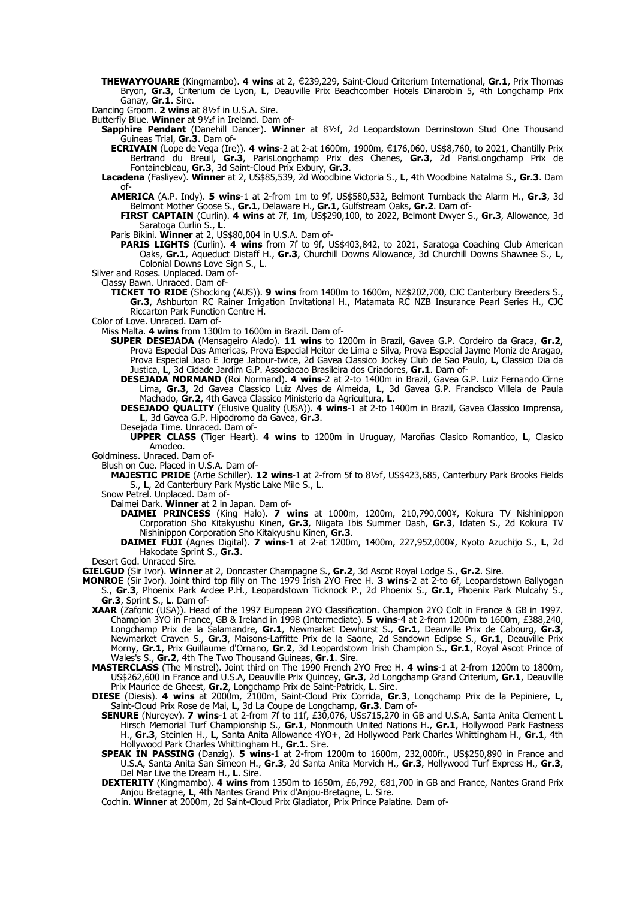**THEWAYYOUARE** (Kingmambo). 4 wins at 2, €239,229, Saint-Cloud Criterium International, Gr.1, Prix Thomas Bryon, **Gr.3**, Criterium de Lyon, **L**, Deauville Prix Beachcomber Hotels Dinarobin 5, 4th Longchamp Prix Ganay, **Gr.1**. Sire.

Dancing Groom. **2 wins** at 8½f in U.S.A. Sire.

Butterfly Blue. **Winner** at 9½f in Ireland. Dam of-

- **Sapphire Pendant** (Danehill Dancer). **Winner** at 8½f, 2d Leopardstown Derrinstown Stud One Thousand Guineas Trial, **Gr.3**. Dam of-
	- **ECRIVAIN** (Lope de Vega (Ire)). 4 wins-2 at 2-at 1600m, 1900m, €176,060, US\$8,760, to 2021, Chantilly Prix Bertrand du Breuil, **Gr.3**, ParisLongchamp Prix des Chenes, **Gr.3**, 2d ParisLongchamp Prix de Fontainebleau, **Gr.3**, 3d Saint-Cloud Prix Exbury, **Gr.3**.

**Lacadena** (Fasliyev). **Winner** at 2, US\$85,539, 2d Woodbine Victoria S., **L**, 4th Woodbine Natalma S., **Gr.3**. Dam of-

**AMERICA** (A.P. Indy). **5 wins**-1 at 2-from 1m to 9f, US\$580,532, Belmont Turnback the Alarm H., **Gr.3**, 3d Belmont Mother Goose S., **Gr.1**, Delaware H., **Gr.1**, Gulfstream Oaks, **Gr.2**. Dam of-

**FIRST CAPTAIN** (Curlin). **4 wins** at 7f, 1m, US\$290,100, to 2022, Belmont Dwyer S., **Gr.3**, Allowance, 3d Saratoga Curlin S., **L**.

Paris Bikini. **Winner** at 2, US\$80,004 in U.S.A. Dam of-

- **PARIS LIGHTS** (Curlin). **4 wins** from 7f to 9f, US\$403,842, to 2021, Saratoga Coaching Club American Oaks, **Gr.1**, Aqueduct Distaff H., **Gr.3**, Churchill Downs Allowance, 3d Churchill Downs Shawnee S., **L**, Colonial Downs Love Sign S., **L**.
- Silver and Roses. Unplaced. Dam of-

Classy Bawn. Unraced. Dam of-

- **TICKET TO RIDE** (Shocking (AUS)). **9 wins** from 1400m to 1600m, NZ\$202,700, CJC Canterbury Breeders S., **Gr.3**, Ashburton RC Rainer Irrigation Invitational H., Matamata RC NZB Insurance Pearl Series H., CJC Riccarton Park Function Centre H.
- Color of Love. Unraced. Dam of-

Miss Malta. **4 wins** from 1300m to 1600m in Brazil. Dam of-

- **SUPER DESEJADA** (Mensageiro Alado). **11 wins** to 1200m in Brazil, Gavea G.P. Cordeiro da Graca, **Gr.2**, Prova Especial Das Americas, Prova Especial Heitor de Lima e Silva, Prova Especial Jayme Moniz de Áragao, Prova Especial Joao E Jorge Jabour-twice, 2d Gavea Classico Jockey Club de Sao Paulo, **L**, Classico Dia da Justica, **L**, 3d Cidade Jardim G.P. Associacao Brasileira dos Criadores, **Gr.1**. Dam of-
	- **DESEJADA NORMAND** (Roi Normand). **4 wins**-2 at 2-to 1400m in Brazil, Gavea G.P. Luiz Fernando Cirne Lima, **Gr.3**, 2d Gavea Classico Luiz Alves de Almeida, **L**, 3d Gavea G.P. Francisco Villela de Paula Machado, **Gr.2**, 4th Gavea Classico Ministerio da Agricultura, **L**.
	- **DESEJADO QUALITY** (Elusive Quality (USA)). **4 wins**-1 at 2-to 1400m in Brazil, Gavea Classico Imprensa, **L**, 3d Gavea G.P. Hipodromo da Gavea, **Gr.3**.
	- Desejada Time. Unraced. Dam of-
	- **UPPER CLASS** (Tiger Heart). **4 wins** to 1200m in Uruguay, Maroñas Clasico Romantico, **L**, Clasico Amodeo.
- Goldminess. Unraced. Dam of-
	- Blush on Cue. Placed in U.S.A. Dam of-
	- **MAJESTIC PRIDE** (Artie Schiller). **12 wins**-1 at 2-from 5f to 8½f, US\$423,685, Canterbury Park Brooks Fields S., **L**, 2d Canterbury Park Mystic Lake Mile S., **L**.
	- Snow Petrel. Unplaced. Dam of-
		- Daimei Dark. **Winner** at 2 in Japan. Dam of-
			- **DAIMEI PRINCESS** (King Halo). **7 wins** at 1000m, 1200m, 210,790,000¥, Kokura TV Nishinippon Corporation Sho Kitakyushu Kinen, **Gr.3**, Niigata Ibis Summer Dash, **Gr.3**, Idaten S., 2d Kokura TV Nishinippon Corporation Sho Kitakyushu Kinen, **Gr.3**.
		- **DAIMEI FUJI** (Agnes Digital). **7 wins**-1 at 2-at 1200m, 1400m, 227,952,000¥, Kyoto Azuchijo S., **L**, 2d Hakodate Sprint S., **Gr.3**.

Desert God. Unraced Sire.

- **GIELGUD** (Sir Ivor). **Winner** at 2, Doncaster Champagne S., **Gr.2**, 3d Ascot Royal Lodge S., **Gr.2**. Sire.
- **MONROE** (Sir Ivor). Joint third top filly on The 1979 Irish 2YO Free H. **3 wins**-2 at 2-to 6f, Leopardstown Ballyogan S., **Gr.3**, Phoenix Park Ardee P.H., Leopardstown Ticknock P., 2d Phoenix S., **Gr.1**, Phoenix Park Mulcahy S., **Gr.3**, Sprint S., **L**. Dam of-
	- **XAAR** (Zafonic (USA)). Head of the 1997 European 2YO Classification. Champion 2YO Colt in France & GB in 1997. Champion 3YO in France, GB & Ireland in 1998 (Intermediate). **5 wins**-4 at 2-from 1200m to 1600m, £388,240, Longchamp Prix de la Salamandre, **Gr.1**, Newmarket Dewhurst S., **Gr.1**, Deauville Prix de Cabourg, **Gr.3**, Newmarket Craven S., **Gr.3**, Maisons-Laffitte Prix de la Saone, 2d Sandown Eclipse S., **Gr.1**, Deauville Prix Morny, **Gr.1**, Prix Guillaume d'Ornano, **Gr.2**, 3d Leopardstown Irish Champion S., **Gr.1**, Royal Ascot Prince of Wales's S., **Gr.2**, 4th The Two Thousand Guineas, **Gr.1**. Sire.
	- **MASTERCLASS** (The Minstrel). Joint third on The 1990 French 2YO Free H. **4 wins**-1 at 2-from 1200m to 1800m, US\$262,600 in France and U.S.A, Deauville Prix Quincey, **Gr.3**, 2d Longchamp Grand Criterium, **Gr.1**, Deauville Prix Maurice de Gheest, **Gr.2**, Longchamp Prix de Saint-Patrick, **L**. Sire.
	- **DIESE** (Diesis). **4 wins** at 2000m, 2100m, Saint-Cloud Prix Corrida, **Gr.3**, Longchamp Prix de la Pepiniere, **L**, Saint-Cloud Prix Rose de Mai, **L**, 3d La Coupe de Longchamp, **Gr.3**. Dam of-
		- **SENURE** (Nureyev). **7 wins**-1 at 2-from 7f to 11f, £30,076, US\$715,270 in GB and U.S.A, Santa Anita Clement L Hirsch Memorial Turf Championship S., **Gr.1**, Monmouth United Nations H., **Gr.1**, Hollywood Park Fastness H., **Gr.3**, Steinlen H., **L**, Santa Anita Allowance 4YO+, 2d Hollywood Park Charles Whittingham H., **Gr.1**, 4th Hollywood Park Charles Whittingham H., **Gr.1**. Sire.
		- **SPEAK IN PASSING** (Danzig). **5 wins**-1 at 2-from 1200m to 1600m, 232,000fr., US\$250,890 in France and U.S.A, Santa Anita San Simeon H., **Gr.3**, 2d Santa Anita Morvich H., **Gr.3**, Hollywood Turf Express H., **Gr.3**, Del Mar Live the Dream H., **L**. Sire.
		- **DEXTERITY** (Kingmambo). 4 wins from 1350m to 1650m, £6,792, €81,700 in GB and France, Nantes Grand Prix Anjou Bretagne, **L**, 4th Nantes Grand Prix d'Anjou-Bretagne, **L**. Sire.
		- Cochin. **Winner** at 2000m, 2d Saint-Cloud Prix Gladiator, Prix Prince Palatine. Dam of-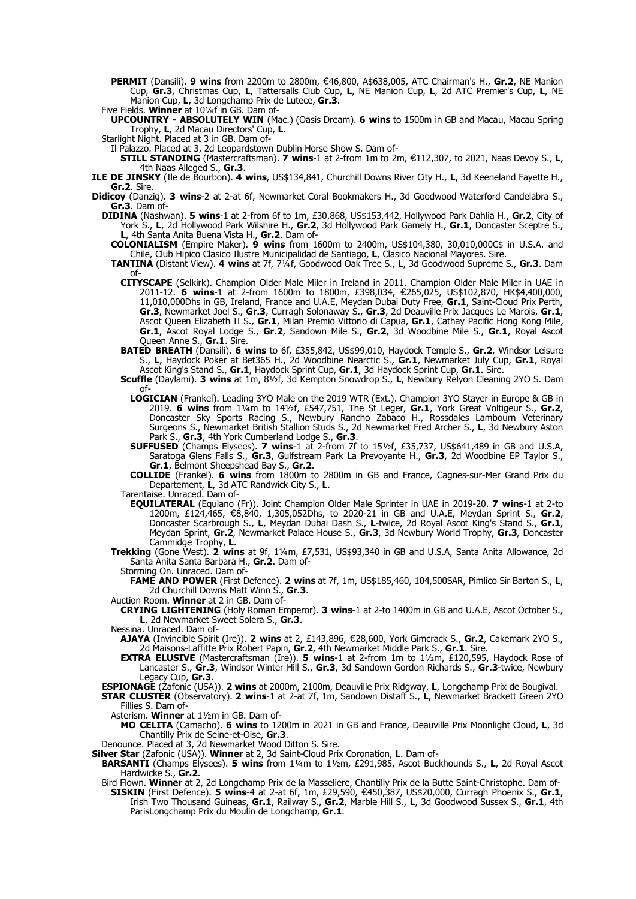- **PERMIT** (Dansili). **9 wins** from 2200m to 2800m, €46,800, A\$638,005, ATC Chairman's H., Gr.2, NE Manion Cup, **Gr.3**, Christmas Cup, **L**, Tattersalls Club Cup, **L**, NE Manion Cup, **L**, 2d ATC Premier's Cup, **L**, NE Manion Cup, **L**, 3d Longchamp Prix de Lutece, **Gr.3**.
- Five Fields. **Winner** at 10¼f in GB. Dam of-
- **UPCOUNTRY ABSOLUTELY WIN** (Mac.) (Oasis Dream). **6 wins** to 1500m in GB and Macau, Macau Spring Trophy, **L**, 2d Macau Directors' Cup, **L**.
- Starlight Night. Placed at 3 in GB. Dam of-
	- Il Palazzo. Placed at 3, 2d Leopardstown Dublin Horse Show S. Dam of-
- **STILL STANDING** (Mastercraftsman). **7 wins**-1 at 2-from 1m to 2m, €112,307, to 2021, Naas Devoy S., L, 4th Naas Alleged S., **Gr.3**.
- **ILE DE JINSKY** (Ile de Bourbon). **4 wins**, US\$134,841, Churchill Downs River City H., **L**, 3d Keeneland Fayette H., **Gr.2**. Sire.
- **Didicoy** (Danzig). **3 wins**-2 at 2-at 6f, Newmarket Coral Bookmakers H., 3d Goodwood Waterford Candelabra S., **Gr.3**. Dam of-
	- **DIDINA** (Nashwan). **5 wins**-1 at 2-from 6f to 1m, £30,868, US\$153,442, Hollywood Park Dahlia H., **Gr.2**, City of York S., **L**, 2d Hollywood Park Wilshire H., **Gr.2**, 3d Hollywood Park Gamely H., **Gr.1**, Doncaster Sceptre S., **L**, 4th Santa Anita Buena Vista H., **Gr.2**. Dam of-
		- **COLONIALISM** (Empire Maker). **9 wins** from 1600m to 2400m, US\$104,380, 30,010,000C\$ in U.S.A. and Chile, Club Hipico Clasico Ilustre Municipalidad de Santiago, **L**, Clasico Nacional Mayores. Sire.
		- **TANTINA** (Distant View). **4 wins** at 7f, 7¼f, Goodwood Oak Tree S., **L**, 3d Goodwood Supreme S., **Gr.3**. Dam of-
			- **CITYSCAPE** (Selkirk). Champion Older Male Miler in Ireland in 2011. Champion Older Male Miler in UAE in 2011-12. **6 wins**-1 at 2-from 1600m to 1800m, £398,034, €265,025, US\$102,870, HK\$4,400,000, 11,010,000Dhs in GB, Ireland, France and U.A.E, Meydan Dubai Duty Free, **Gr.1**, Saint-Cloud Prix Perth, **Gr.3**, Newmarket Joel S., **Gr.3**, Curragh Solonaway S., **Gr.3**, 2d Deauville Prix Jacques Le Marois, **Gr.1**, Ascot Queen Elizabeth II S., **Gr.1**, Milan Premio Vittorio di Capua, **Gr.1**, Cathay Pacific Hong Kong Mile, **Gr.1**, Ascot Royal Lodge S., **Gr.2**, Sandown Mile S., **Gr.2**, 3d Woodbine Mile S., **Gr.1**, Royal Ascot Queen Anne S., **Gr.1**. Sire.
			- **BATED BREATH** (Dansili). **6 wins** to 6f, £355,842, US\$99,010, Haydock Temple S., **Gr.2**, Windsor Leisure S., **L**, Haydock Poker at Bet365 H., 2d Woodbine Nearctic S., **Gr.1**, Newmarket July Cup, **Gr.1**, Royal Ascot King's Stand S., **Gr.1**, Haydock Sprint Cup, **Gr.1**, 3d Haydock Sprint Cup, **Gr.1**. Sire.
			- **Scuffle** (Daylami). **3 wins** at 1m, 8½f, 3d Kempton Snowdrop S., **L**, Newbury Relyon Cleaning 2YO S. Dam of-
				- **LOGICIAN** (Frankel). Leading 3YO Male on the 2019 WTR (Ext.). Champion 3YO Stayer in Europe & GB in 2019. **6 wins** from 1¼m to 14½f, £547,751, The St Leger, **Gr.1**, York Great Voltigeur S., **Gr.2**, Doncaster Sky Sports Racing S., Newbury Rancho Zabaco H., Rossdales Lambourn Veterinary Surgeons S., Newmarket British Stallion Studs S., 2d Newmarket Fred Archer S., **L**, 3d Newbury Aston Park S., **Gr.3**, 4th York Cumberland Lodge S., **Gr.3**.
				- **SUFFUSED** (Champs Elysees). **7 wins**-1 at 2-from 7f to 15½f, £35,737, US\$641,489 in GB and U.S.A, Saratoga Glens Falls S., **Gr.3**, Gulfstream Park La Prevoyante H., **Gr.3**, 2d Woodbine EP Taylor S., **Gr.1**, Belmont Sheepshead Bay S., **Gr.2**.
			- **COLLIDE** (Frankel). **6 wins** from 1800m to 2800m in GB and France, Cagnes-sur-Mer Grand Prix du Departement, **L**, 3d ATC Randwick City S., **L**.
			- Tarentaise. Unraced. Dam of-
				- **EQUILATERAL** (Equiano (Fr)). Joint Champion Older Male Sprinter in UAE in 2019-20. **7 wins**-1 at 2-to 1200m, £124,465, €8,840, 1,305,052Dhs, to 2020-21 in GB and U.A.E, Meydan Sprint S., **Gr.2**, Doncaster Scarbrough S., **L**, Meydan Dubai Dash S., **L**-twice, 2d Royal Ascot King's Stand S., **Gr.1**, Meydan Sprint, **Gr.2**, Newmarket Palace House S., **Gr.3**, 3d Newbury World Trophy, **Gr.3**, Doncaster Cammidge Trophy, **L**.
		- **Trekking** (Gone West). **2 wins** at 9f, 1¼m, £7,531, US\$93,340 in GB and U.S.A, Santa Anita Allowance, 2d Santa Anita Santa Barbara H., **Gr.2**. Dam of-

Storming On. Unraced. Dam of-

- **FAME AND POWER** (First Defence). **2 wins** at 7f, 1m, US\$185,460, 104,500SAR, Pimlico Sir Barton S., **L**, 2d Churchill Downs Matt Winn S., **Gr.3**.
- Auction Room. **Winner** at 2 in GB. Dam of-
- **CRYING LIGHTENING** (Holy Roman Emperor). **3 wins**-1 at 2-to 1400m in GB and U.A.E, Ascot October S., **L**, 2d Newmarket Sweet Solera S., **Gr.3**.
- Nessina. Unraced. Dam of-
	- **AJAYA** (Invincible Spirit (Ire)). 2 wins at 2, £143,896, €28,600, York Gimcrack S., Gr.2, Cakemark 2YO S., 2d Maisons-Laffitte Prix Robert Papin, **Gr.2**, 4th Newmarket Middle Park S., **Gr.1**. Sire.
	- **EXTRA ELUSIVE** (Mastercraftsman (Ire)). **5 wins**-1 at 2-from 1m to 1½m, £120,595, Haydock Rose of Lancaster S., **Gr.3**, Windsor Winter Hill S., **Gr.3**, 3d Sandown Gordon Richards S., **Gr.3**-twice, Newbury Legacy Cup, **Gr.3**.
- **ESPIONAGE** (Zafonic (USA)). **2 wins** at 2000m, 2100m, Deauville Prix Ridgway, **L**, Longchamp Prix de Bougival.
- **STAR CLUSTER** (Observatory). **2 wins**-1 at 2-at 7f, 1m, Sandown Distaff S., **L**, Newmarket Brackett Green 2YO Fillies S. Dam of-

Asterism. **Winner** at 1½m in GB. Dam of-

- **MO CELITA** (Camacho). **6 wins** to 1200m in 2021 in GB and France, Deauville Prix Moonlight Cloud, **L**, 3d Chantilly Prix de Seine-et-Oise, **Gr.3**.
- Denounce. Placed at 3, 2d Newmarket Wood Ditton S. Sire.
- **Silver Star** (Zafonic (USA)). **Winner** at 2, 3d Saint-Cloud Prix Coronation, **L**. Dam of-
	- **BARSANTI** (Champs Elysees). **5 wins** from 1¼m to 1½m, £291,985, Ascot Buckhounds S., **L**, 2d Royal Ascot Hardwicke S., **Gr.2**.
	- Bird Flown. **Winner** at 2, 2d Longchamp Prix de la Masseliere, Chantilly Prix de la Butte Saint-Christophe. Dam of-**SISKIN** (First Defence). **5 wins**-4 at 2-at 6f, 1m, £29,590, €450,387, US\$20,000, Curragh Phoenix S., Gr.1,
		- Irish Two Thousand Guineas, **Gr.1**, Railway S., **Gr.2**, Marble Hill S., **L**, 3d Goodwood Sussex S., **Gr.1**, 4th ParisLongchamp Prix du Moulin de Longchamp, **Gr.1**.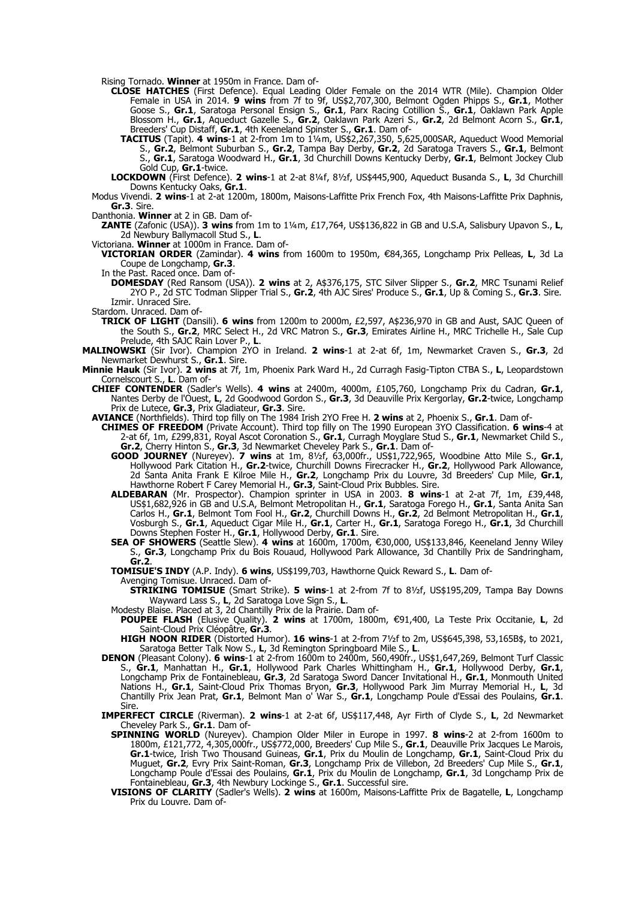Rising Tornado. **Winner** at 1950m in France. Dam of-

**CLOSE HATCHES** (First Defence). Equal Leading Older Female on the 2014 WTR (Mile). Champion Older Female in USA in 2014. **9 wins** from 7f to 9f, US\$2,707,300, Belmont Ogden Phipps S., **Gr.1**, Mother Goose S., **Gr.1**, Saratoga Personal Ensign S., **Gr.1**, Parx Racing Cotillion S., **Gr.1**, Oaklawn Park Apple Blossom H., **Gr.1**, Aqueduct Gazelle S., **Gr.2**, Oaklawn Park Azeri S., **Gr.2**, 2d Belmont Acorn S., **Gr.1**, Breeders' Cup Distaff, **Gr.1**, 4th Keeneland Spinster S., **Gr.1**. Dam of-

**TACITUS** (Tapit). **4 wins**-1 at 2-from 1m to 1¼m, US\$2,267,350, 5,625,000SAR, Aqueduct Wood Memorial S., **Gr.2**, Belmont Suburban S., **Gr.2**, Tampa Bay Derby, **Gr.2**, 2d Saratoga Travers S., **Gr.1**, Belmont S., **Gr.1**, Saratoga Woodward H., **Gr.1**, 3d Churchill Downs Kentucky Derby, **Gr.1**, Belmont Jockey Club Gold Cup, **Gr.1**-twice.

**LOCKDOWN** (First Defence). **2 wins**-1 at 2-at 8¼f, 8½f, US\$445,900, Aqueduct Busanda S., **L**, 3d Churchill Downs Kentucky Oaks, **Gr.1**.

Modus Vivendi. **2 wins**-1 at 2-at 1200m, 1800m, Maisons-Laffitte Prix French Fox, 4th Maisons-Laffitte Prix Daphnis, **Gr.3**. Sire.

Danthonia. **Winner** at 2 in GB. Dam of-

**ZANTE** (Zafonic (USA)). **3 wins** from 1m to 1¼m, £17,764, US\$136,822 in GB and U.S.A, Salisbury Upavon S., **L**, 2d Newbury Ballymacoll Stud S., **L**.

Victoriana. **Winner** at 1000m in France. Dam of-

**VICTORIAN ORDER** (Zamindar). 4 wins from 1600m to 1950m, €84,365, Longchamp Prix Pelleas, L, 3d La Coupe de Longchamp, **Gr.3**.

In the Past. Raced once. Dam of-

**DOMESDAY** (Red Ransom (USA)). **2 wins** at 2, A\$376,175, STC Silver Slipper S., **Gr.2**, MRC Tsunami Relief 2YO P., 2d STC Todman Slipper Trial S., **Gr.2**, 4th AJC Sires' Produce S., **Gr.1**, Up & Coming S., **Gr.3**. Sire. Izmir. Unraced Sire.

Stardom. Unraced. Dam of-

- **TRICK OF LIGHT** (Dansili). **6 wins** from 1200m to 2000m, £2,597, A\$236,970 in GB and Aust, SAJC Queen of the South S., **Gr.2**, MRC Select H., 2d VRC Matron S., **Gr.3**, Emirates Airline H., MRC Trichelle H., Sale Cup Prelude, 4th SAJC Rain Lover P., **L**.
- **MALINOWSKI** (Sir Ivor). Champion 2YO in Ireland. **2 wins**-1 at 2-at 6f, 1m, Newmarket Craven S., **Gr.3**, 2d Newmarket Dewhurst S., **Gr.1**. Sire.

**Minnie Hauk** (Sir Ivor). **2 wins** at 7f, 1m, Phoenix Park Ward H., 2d Curragh Fasig-Tipton CTBA S., **L**, Leopardstown Cornelscourt S., **L**. Dam of-

- **CHIEF CONTENDER** (Sadler's Wells). **4 wins** at 2400m, 4000m, £105,760, Longchamp Prix du Cadran, **Gr.1**, Nantes Derby de l'Ouest, **L**, 2d Goodwood Gordon S., **Gr.3**, 3d Deauville Prix Kergorlay, **Gr.2**-twice, Longchamp Prix de Lutece, **Gr.3**, Prix Gladiateur, **Gr.3**. Sire.
- **AVIANCE** (Northfields). Third top filly on The 1984 Irish 2YO Free H. **2 wins** at 2, Phoenix S., **Gr.1**. Dam of-
	- **CHIMES OF FREEDOM** (Private Account). Third top filly on The 1990 European 3YO Classification. **6 wins**-4 at 2-at 6f, 1m, £299,831, Royal Ascot Coronation S., **Gr.1**, Curragh Moyglare Stud S., **Gr.1**, Newmarket Child S., **Gr.2**, Cherry Hinton S., **Gr.3**, 3d Newmarket Cheveley Park S., **Gr.1**. Dam of-
		- **GOOD JOURNEY** (Nureyev). **7 wins** at 1m, 8½f, 63,000fr., US\$1,722,965, Woodbine Atto Mile S., **Gr.1**, Hollywood Park Citation H., **Gr.2**-twice, Churchill Downs Firecracker H., **Gr.2**, Hollywood Park Allowance, 2d Santa Anita Frank E Kilroe Mile H., **Gr.2**, Longchamp Prix du Louvre, 3d Breeders' Cup Mile, **Gr.1**, Hawthorne Robert F Carey Memorial H., **Gr.3**, Saint-Cloud Prix Bubbles. Sire.
		- **ALDEBARAN** (Mr. Prospector). Champion sprinter in USA in 2003. **8 wins**-1 at 2-at 7f, 1m, £39,448, US\$1,682,926 in GB and U.S.A, Belmont Metropolitan H., **Gr.1**, Saratoga Forego H., **Gr.1**, Santa Anita San Carlos H., **Gr.1**, Belmont Tom Fool H., **Gr.2**, Churchill Downs H., **Gr.2**, 2d Belmont Metropolitan H., **Gr.1**, Vosburgh S., **Gr.1**, Aqueduct Cigar Mile H., **Gr.1**, Carter H., **Gr.1**, Saratoga Forego H., **Gr.1**, 3d Churchill Downs Stephen Foster H., **Gr.1**, Hollywood Derby, **Gr.1**. Sire.
		- **SEA OF SHOWERS** (Seattle Slew). 4 wins at 1600m, 1700m, €30,000, US\$133,846, Keeneland Jenny Wiley S., **Gr.3**, Longchamp Prix du Bois Rouaud, Hollywood Park Allowance, 3d Chantilly Prix de Sandringham, **Gr.2**.

**TOMISUE'S INDY** (A.P. Indy). **6 wins**, US\$199,703, Hawthorne Quick Reward S., **L**. Dam of-Avenging Tomisue. Unraced. Dam of-

**STRIKING TOMISUE** (Smart Strike). **5 wins**-1 at 2-from 7f to 8½f, US\$195,209, Tampa Bay Downs Wayward Lass S., **L**, 2d Saratoga Love Sign S., **L**.

Modesty Blaise. Placed at 3, 2d Chantilly Prix de la Prairie. Dam of-

**POUPEE FLASH** (Elusive Quality). **2 wins** at 1700m, 1800m, €91,400, La Teste Prix Occitanie, L, 2d Saint-Cloud Prix Cléopâtre, **Gr.3**.

**HIGH NOON RIDER** (Distorted Humor). **16 wins**-1 at 2-from 7½f to 2m, US\$645,398, 53,165B\$, to 2021, Saratoga Better Talk Now S., **L**, 3d Remington Springboard Mile S., **L**.

**DENON** (Pleasant Colony). **6 wins**-1 at 2-from 1600m to 2400m, 560,490fr., US\$1,647,269, Belmont Turf Classic S., **Gr.1**, Manhattan H., **Gr.1**, Hollywood Park Charles Whittingham H., **Gr.1**, Hollywood Derby, **Gr.1**, Longchamp Prix de Fontainebleau, **Gr.3**, 2d Saratoga Sword Dancer Invitational H., **Gr.1**, Monmouth United Nations H., **Gr.1**, Saint-Cloud Prix Thomas Bryon, **Gr.3**, Hollywood Park Jim Murray Memorial H., **L**, 3d Chantilly Prix Jean Prat, **Gr.1**, Belmont Man o' War S., **Gr.1**, Longchamp Poule d'Essai des Poulains, **Gr.1**. Sire.

**IMPERFECT CIRCLE** (Riverman). **2 wins**-1 at 2-at 6f, US\$117,448, Ayr Firth of Clyde S., **L**, 2d Newmarket Cheveley Park S., **Gr.1**. Dam of-

- **SPINNING WORLD** (Nureyev). Champion Older Miler in Europe in 1997. **8 wins**-2 at 2-from 1600m to 1800m, £121,772, 4,305,000fr., US\$772,000, Breeders' Cup Mile S., **Gr.1**, Deauville Prix Jacques Le Marois, **Gr.1**-twice, Irish Two Thousand Guineas, **Gr.1**, Prix du Moulin de Longchamp, **Gr.1**, Saint-Cloud Prix du Muguet, **Gr.2**, Evry Prix Saint-Roman, **Gr.3**, Longchamp Prix de Villebon, 2d Breeders' Cup Mile S., **Gr.1**, Longchamp Poule d'Essai des Poulains, **Gr.1**, Prix du Moulin de Longchamp, **Gr.1**, 3d Longchamp Prix de Fontainebleau, **Gr.3**, 4th Newbury Lockinge S., **Gr.1**. Successful sire.
- **VISIONS OF CLARITY** (Sadler's Wells). **2 wins** at 1600m, Maisons-Laffitte Prix de Bagatelle, **L**, Longchamp Prix du Louvre. Dam of-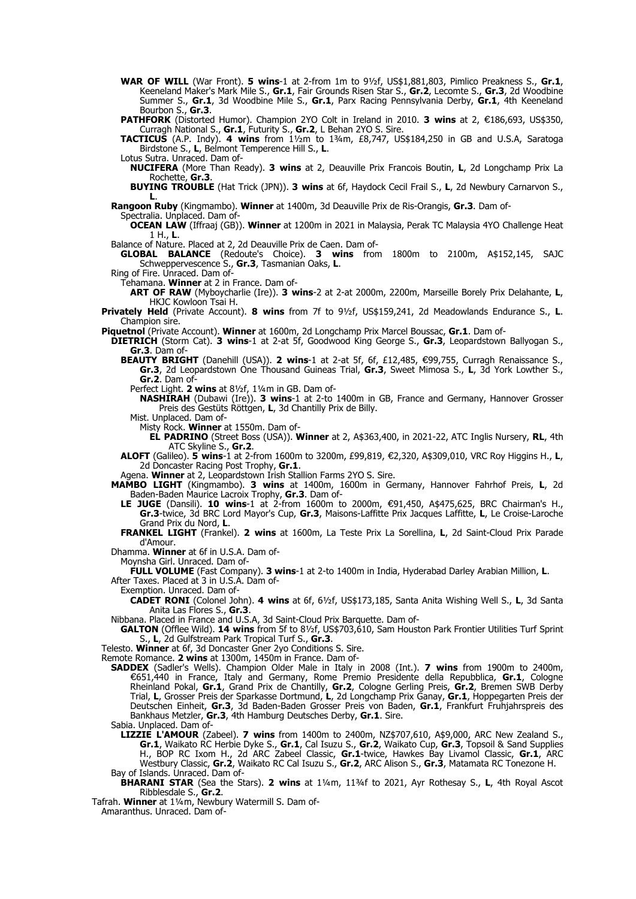**WAR OF WILL** (War Front). **5 wins**-1 at 2-from 1m to 9½f, US\$1,881,803, Pimlico Preakness S., **Gr.1**, Keeneland Maker's Mark Mile S., **Gr.1**, Fair Grounds Risen Star S., **Gr.2**, Lecomte S., **Gr.3**, 2d Woodbine Summer S., **Gr.1**, 3d Woodbine Mile S., **Gr.1**, Parx Racing Pennsylvania Derby, **Gr.1**, 4th Keeneland Bourbon S., **Gr.3**.

**PATHFORK** (Distorted Humor). Champion 2YO Colt in Ireland in 2010. **3 wins** at 2, €186,693, US\$350, Curragh National S., **Gr.1**, Futurity S., **Gr.2**, L Behan 2YO S. Sire.

**TACTICUS** (A.P. Indy). **4 wins** from 1½m to 1¾m, £8,747, US\$184,250 in GB and U.S.A, Saratoga Birdstone S., **L**, Belmont Temperence Hill S., **L**.

Lotus Sutra. Unraced. Dam of-

**NUCIFERA** (More Than Ready). **3 wins** at 2, Deauville Prix Francois Boutin, **L**, 2d Longchamp Prix La Rochette, **Gr.3**.

**BUYING TROUBLE** (Hat Trick (JPN)). **3 wins** at 6f, Haydock Cecil Frail S., **L**, 2d Newbury Carnarvon S., **L**.

**Rangoon Ruby** (Kingmambo). **Winner** at 1400m, 3d Deauville Prix de Ris-Orangis, **Gr.3**. Dam of-

Spectralia. Unplaced. Dam of-

**OCEAN LAW** (Iffraaj (GB)). **Winner** at 1200m in 2021 in Malaysia, Perak TC Malaysia 4YO Challenge Heat 1 H., **L**.

Balance of Nature. Placed at 2, 2d Deauville Prix de Caen. Dam of-

**GLOBAL BALANCE** (Redoute's Choice). **3 wins** from 1800m to 2100m, A\$152,145, SAJC Schweppervescence S., **Gr.3**, Tasmanian Oaks, **L**.

Ring of Fire. Unraced. Dam of-

Tehamana. **Winner** at 2 in France. Dam of-

**ART OF RAW** (Myboycharlie (Ire)). **3 wins**-2 at 2-at 2000m, 2200m, Marseille Borely Prix Delahante, **L**, HKJC Kowloon Tsai H.

**Privately Held** (Private Account). **8 wins** from 7f to 9½f, US\$159,241, 2d Meadowlands Endurance S., **L**. Champion sire.

**Piquetnol** (Private Account). **Winner** at 1600m, 2d Longchamp Prix Marcel Boussac, **Gr.1**. Dam of-

**DIETRICH** (Storm Cat). **3 wins**-1 at 2-at 5f, Goodwood King George S., **Gr.3**, Leopardstown Ballyogan S., **Gr.3**. Dam of-

**BEAUTY BRIGHT** (Danehill (USA)). 2 wins-1 at 2-at 5f, 6f, £12,485, €99,755, Curragh Renaissance S., **Gr.3**, 2d Leopardstown One Thousand Guineas Trial, **Gr.3**, Sweet Mimosa S., **L**, 3d York Lowther S., **Gr.2**. Dam of-

Perfect Light. **2 wins** at 8½f, 1¼m in GB. Dam of-

**NASHIRAH** (Dubawi (Ire)). **3 wins**-1 at 2-to 1400m in GB, France and Germany, Hannover Grosser Preis des Gestüts Röttgen, L, 3d Chantilly Prix de Billy.

Mist. Unplaced. Dam of-

Misty Rock. **Winner** at 1550m. Dam of-

**EL PADRINO** (Street Boss (USA)). **Winner** at 2, A\$363,400, in 2021-22, ATC Inglis Nursery, **RL**, 4th ATC Skyline S., **Gr.2**.

**ALOFT** (Galileo). **5 wins**-1 at 2-from 1600m to 3200m, £99,819, €2,320, A\$309,010, VRC Roy Higgins H., L, 2d Doncaster Racing Post Trophy, **Gr.1**.

Agena. **Winner** at 2, Leopardstown Irish Stallion Farms 2YO S. Sire.

**MAMBO LIGHT** (Kingmambo). **3 wins** at 1400m, 1600m in Germany, Hannover Fahrhof Preis, **L**, 2d Baden-Baden Maurice Lacroix Trophy, **Gr.3**. Dam of-

**LE JUGE** (Dansili). **10 wins**-1 at 2-from 1600m to 2000m, €91,450, A\$475,625, BRC Chairman's H., **Gr.3**-twice, 3d BRC Lord Mayor's Cup, **Gr.3**, Maisons-Laffitte Prix Jacques Laffitte, **L**, Le Croise-Laroche Grand Prix du Nord, **L**.

**FRANKEL LIGHT** (Frankel). **2 wins** at 1600m, La Teste Prix La Sorellina, **L**, 2d Saint-Cloud Prix Parade d'Amour.

Dhamma. **Winner** at 6f in U.S.A. Dam of-

Moynsha Girl. Unraced. Dam of-

**FULL VOLUME** (Fast Company). **3 wins**-1 at 2-to 1400m in India, Hyderabad Darley Arabian Million, **L**. After Taxes. Placed at 3 in U.S.A. Dam of-

Exemption. Unraced. Dam of-

**CADET RONI** (Colonel John). **4 wins** at 6f, 6½f, US\$173,185, Santa Anita Wishing Well S., **L**, 3d Santa

Anita Las Flores S., **Gr.3**.

Nibbana. Placed in France and U.S.A, 3d Saint-Cloud Prix Barquette. Dam of-

**GALTON** (Offlee Wild). **14 wins** from 5f to 8½f, US\$703,610, Sam Houston Park Frontier Utilities Turf Sprint S., **L**, 2d Gulfstream Park Tropical Turf S., **Gr.3**.

Telesto. **Winner** at 6f, 3d Doncaster Gner 2yo Conditions S. Sire.

Remote Romance. **2 wins** at 1300m, 1450m in France. Dam of-

**SADDEX** (Sadler's Wells). Champion Older Male in Italy in 2008 (Int.). **7 wins** from 1900m to 2400m, €651,440 in France, Italy and Germany, Rome Premio Presidente della Repubblica, **Gr.1**, Cologne Rheinland Pokal, **Gr.1**, Grand Prix de Chantilly, **Gr.2**, Cologne Gerling Preis, **Gr.2**, Bremen SWB Derby Trial, **L**, Grosser Preis der Sparkasse Dortmund, **L**, 2d Longchamp Prix Ganay, **Gr.1**, Hoppegarten Preis der Deutschen Einheit, **Gr.3**, 3d Baden-Baden Grosser Preis von Baden, **Gr.1**, Frankfurt Fruhjahrspreis des Bankhaus Metzler, **Gr.3**, 4th Hamburg Deutsches Derby, **Gr.1**. Sire.

Sabia. Unplaced. Dam of-

**LIZZIE L'AMOUR** (Zabeel). **7 wins** from 1400m to 2400m, NZ\$707,610, A\$9,000, ARC New Zealand S., **Gr.1**, Waikato RC Herbie Dyke S., **Gr.1**, Cal Isuzu S., **Gr.2**, Waikato Cup, **Gr.3**, Topsoil & Sand Supplies H., BOP RC Ixom H., 2d ARC Zabeel Classic, **Gr.1**-twice, Hawkes Bay Livamol Classic, **Gr.1**, ARC Westbury Classic, **Gr.2**, Waikato RC Cal Isuzu S., **Gr.2**, ARC Alison S., **Gr.3**, Matamata RC Tonezone H. Bay of Islands. Unraced. Dam of-

**BHARANI STAR** (Sea the Stars). **2 wins** at 1¼m, 11¾f to 2021, Ayr Rothesay S., **L**, 4th Royal Ascot Ribblesdale S., **Gr.2**.

Tafrah. **Winner** at 1¼m, Newbury Watermill S. Dam of-

Amaranthus. Unraced. Dam of-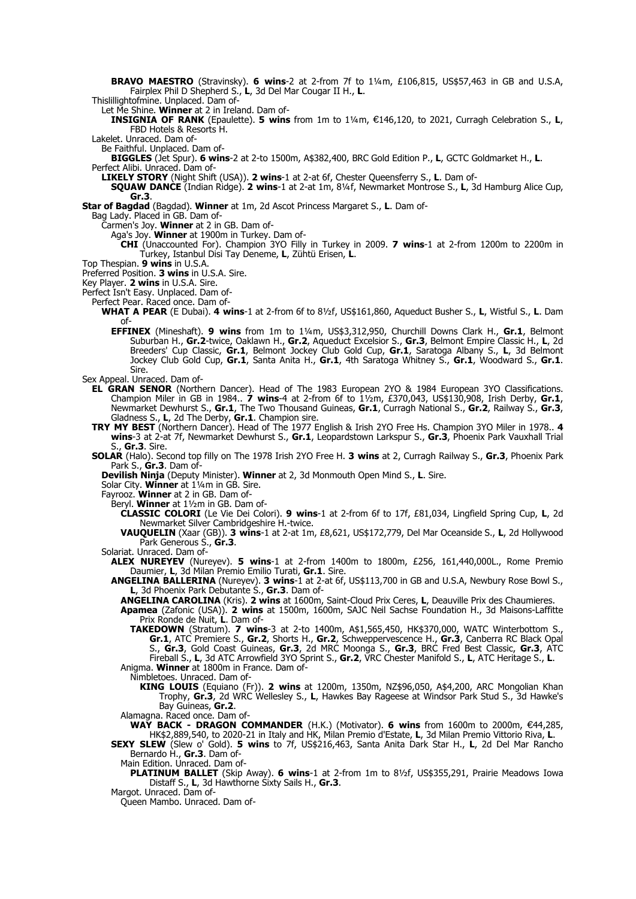**BRAVO MAESTRO** (Stravinsky). **6 wins**-2 at 2-from 7f to 1¼m, £106,815, US\$57,463 in GB and U.S.A, Fairplex Phil D Shepherd S., **L**, 3d Del Mar Cougar II H., **L**.

Thislillightofmine. Unplaced. Dam of-

Let Me Shine. **Winner** at 2 in Ireland. Dam of-

**INSIGNIA OF RANK** (Epaulette). **5 wins** from 1m to 1¼m, €146,120, to 2021, Curragh Celebration S., L, FBD Hotels & Resorts H.

Lakelet. Unraced. Dam of-

Be Faithful. Unplaced. Dam of-

**BIGGLES** (Jet Spur). **6 wins**-2 at 2-to 1500m, A\$382,400, BRC Gold Edition P., **L**, GCTC Goldmarket H., **L**. Perfect Alibi. Unraced. Dam of-

**LIKELY STORY** (Night Shift (USA)). **2 wins**-1 at 2-at 6f, Chester Queensferry S., **L**. Dam of-

**SQUAW DANCE** (Indian Ridge). **2 wins**-1 at 2-at 1m, 8¼f, Newmarket Montrose S., **L**, 3d Hamburg Alice Cup, **Gr.3**.

**Star of Bagdad** (Bagdad). **Winner** at 1m, 2d Ascot Princess Margaret S., **L**. Dam of-

Bag Lady. Placed in GB. Dam of-

Carmen's Joy. **Winner** at 2 in GB. Dam of-

- Aga's Joy. **Winner** at 1900m in Turkey. Dam of-
	- **CHI** (Unaccounted For). Champion 3YO Filly in Turkey in 2009. **7 wins**-1 at 2-from 1200m to 2200m in Turkey, Istanbul Disi Tay Deneme, **L**, Zühtü Erisen, **L**.
- Top Thespian. **9 wins** in U.S.A.

Preferred Position. **3 wins** in U.S.A. Sire.

Key Player. **2 wins** in U.S.A. Sire.

Perfect Isn't Easy. Unplaced. Dam of-

Perfect Pear. Raced once. Dam of-

**WHAT A PEAR** (E Dubai). **4 wins**-1 at 2-from 6f to 8½f, US\$161,860, Aqueduct Busher S., **L**, Wistful S., **L**. Dam of-

**EFFINEX** (Mineshaft). **9 wins** from 1m to 1¼m, US\$3,312,950, Churchill Downs Clark H., **Gr.1**, Belmont Suburban H., **Gr.2**-twice, Oaklawn H., **Gr.2**, Aqueduct Excelsior S., **Gr.3**, Belmont Empire Classic H., **L**, 2d Breeders' Cup Classic, **Gr.1**, Belmont Jockey Club Gold Cup, **Gr.1**, Saratoga Albany S., **L**, 3d Belmont Jockey Club Gold Cup, **Gr.1**, Santa Anita H., **Gr.1**, 4th Saratoga Whitney S., **Gr.1**, Woodward S., **Gr.1**. Sire.

Sex Appeal. Unraced. Dam of-

- **EL GRAN SENOR** (Northern Dancer). Head of The 1983 European 2YO & 1984 European 3YO Classifications. Champion Miler in GB in 1984.. **7 wins**-4 at 2-from 6f to 1½m, £370,043, US\$130,908, Irish Derby, **Gr.1**, Newmarket Dewhurst S., **Gr.1**, The Two Thousand Guineas, **Gr.1**, Curragh National S., **Gr.2**, Railway S., **Gr.3**, Gladness S., **L**, 2d The Derby, **Gr.1**. Champion sire.
- **TRY MY BEST** (Northern Dancer). Head of The 1977 English & Irish 2YO Free Hs. Champion 3YO Miler in 1978.. **4 wins**-3 at 2-at 7f, Newmarket Dewhurst S., **Gr.1**, Leopardstown Larkspur S., **Gr.3**, Phoenix Park Vauxhall Trial S., **Gr.3**. Sire.

**SOLAR** (Halo). Second top filly on The 1978 Irish 2YO Free H. **3 wins** at 2, Curragh Railway S., **Gr.3**, Phoenix Park Park S., **Gr.3**. Dam of-

**Devilish Ninja** (Deputy Minister). **Winner** at 2, 3d Monmouth Open Mind S., **L**. Sire.

Solar City. **Winner** at 1¼m in GB. Sire.

Fayrooz. **Winner** at 2 in GB. Dam of-

Beryl. **Winner** at 1½m in GB. Dam of-

**CLASSIC COLORI** (Le Vie Dei Colori). **9 wins**-1 at 2-from 6f to 17f, £81,034, Lingfield Spring Cup, **L**, 2d Newmarket Silver Cambridgeshire H.-twice.

**VAUQUELIN** (Xaar (GB)). **3 wins**-1 at 2-at 1m, £8,621, US\$172,779, Del Mar Oceanside S., **L**, 2d Hollywood Park Generous S., **Gr.3**.

Solariat. Unraced. Dam of-

**ALEX NUREYEV** (Nureyev). **5 wins**-1 at 2-from 1400m to 1800m, £256, 161,440,000L., Rome Premio Daumier, L, 3d Milan Premio Emilio Turati, Gr.1. Sire.

**ANGELINA BALLERINA** (Nureyev). **3 wins**-1 at 2-at 6f, US\$113,700 in GB and U.S.A, Newbury Rose Bowl S., **L**, 3d Phoenix Park Debutante S., **Gr.3**. Dam of-

**ANGELINA CAROLINA** (Kris). **2 wins** at 1600m, Saint-Cloud Prix Ceres, **L**, Deauville Prix des Chaumieres.

**Apamea** (Zafonic (USA)). **2 wins** at 1500m, 1600m, SAJC Neil Sachse Foundation H., 3d Maisons-Laffitte Prix Ronde de Nuit, **L**. Dam of-

**TAKEDOWN** (Stratum). **7 wins**-3 at 2-to 1400m, A\$1,565,450, HK\$370,000, WATC Winterbottom S., **Gr.1**, ATC Premiere S., **Gr.2**, Shorts H., **Gr.2**, Schweppervescence H., **Gr.3**, Canberra RC Black Opal S., **Gr.3**, Gold Coast Guineas, **Gr.3**, 2d MRC Moonga S., **Gr.3**, BRC Fred Best Classic, **Gr.3**, ATC Fireball S., **L**, 3d ATC Arrowfield 3YO Sprint S., **Gr.2**, VRC Chester Manifold S., **L**, ATC Heritage S., **L**. Anigma. **Winner** at 1800m in France. Dam of-

Nimbletoes. Unraced. Dam of-

**KING LOUIS** (Equiano (Fr)). **2 wins** at 1200m, 1350m, NZ\$96,050, A\$4,200, ARC Mongolian Khan Trophy, **Gr.3**, 2d WRC Wellesley S., **L**, Hawkes Bay Rageese at Windsor Park Stud S., 3d Hawke's Bay Guineas, **Gr.2**.

Alamagna. Raced once. Dam of-

**WAY BACK - DRAGON COMMANDER** (H.K.) (Motivator). 6 wins from 1600m to 2000m, €44,285, HK\$2,889,540, to 2020-21 in Italy and HK, Milan Premio d'Estate, **L**, 3d Milan Premio Vittorio Riva, **L**.

**SEXY SLEW** (Slew o' Gold). **5 wins** to 7f, US\$216,463, Santa Anita Dark Star H., **L**, 2d Del Mar Rancho Bernardo H., **Gr.3**. Dam of-

Main Edition. Unraced. Dam of-

**PLATINUM BALLET** (Skip Away). **6 wins**-1 at 2-from 1m to 8½f, US\$355,291, Prairie Meadows Iowa Distaff S., **L**, 3d Hawthorne Sixty Sails H., **Gr.3**.

Margot. Unraced. Dam of-

Queen Mambo. Unraced. Dam of-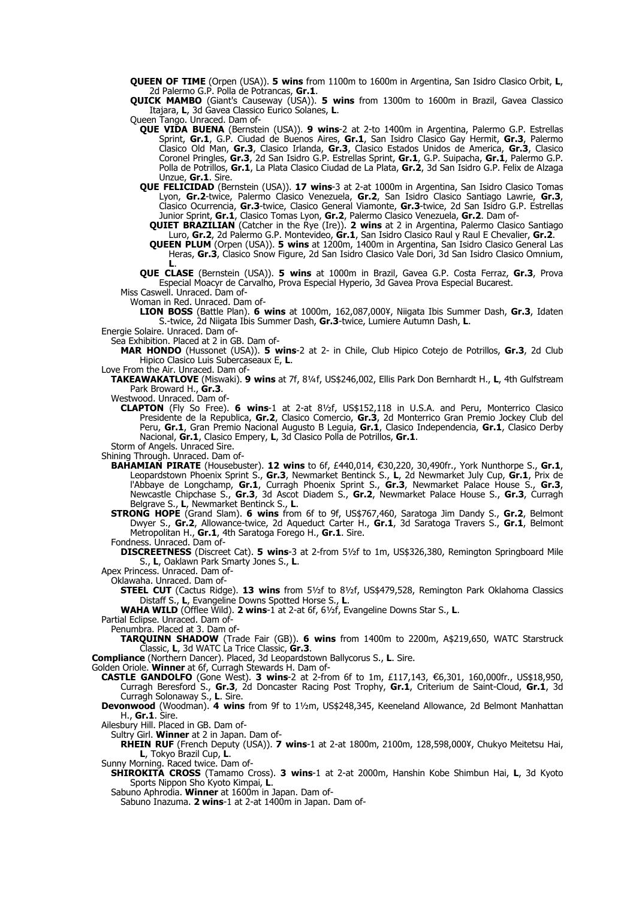**QUEEN OF TIME** (Orpen (USA)). **5 wins** from 1100m to 1600m in Argentina, San Isidro Clasico Orbit, **L**, 2d Palermo G.P. Polla de Potrancas, **Gr.1**.

**QUICK MAMBO** (Giant's Causeway (USA)). **5 wins** from 1300m to 1600m in Brazil, Gavea Classico Itajara, **L**, 3d Gavea Classico Eurico Solanes, **L**.

Queen Tango. Unraced. Dam of-

**QUE VIDA BUENA** (Bernstein (USA)). **9 wins**-2 at 2-to 1400m in Argentina, Palermo G.P. Estrellas Sprint, **Gr.1**, G.P. Ciudad de Buenos Aires, **Gr.1**, San Isidro Clasico Gay Hermit, **Gr.3**, Palermo Clasico Old Man, **Gr.3**, Clasico Irlanda, **Gr.3**, Clasico Estados Unidos de America, **Gr.3**, Clasico Coronel Pringles, **Gr.3**, 2d San Isidro G.P. Estrellas Sprint, **Gr.1**, G.P. Suipacha, **Gr.1**, Palermo G.P. Polla de Potrillos, **Gr.1**, La Plata Clasico Ciudad de La Plata, **Gr.2**, 3d San Isidro G.P. Felix de Alzaga Unzue, **Gr.1**. Sire.

**QUE FELICIDAD** (Bernstein (USA)). **17 wins**-3 at 2-at 1000m in Argentina, San Isidro Clasico Tomas Lyon, **Gr.2**-twice, Palermo Clasico Venezuela, **Gr.2**, San Isidro Clasico Santiago Lawrie, **Gr.3**, Clasico Ocurrencia, **Gr.3**-twice, Clasico General Viamonte, **Gr.3**-twice, 2d San Isidro G.P. Estrellas Junior Sprint, **Gr.1**, Clasico Tomas Lyon, **Gr.2**, Palermo Clasico Venezuela, **Gr.2**. Dam of-

**QUIET BRAZILIAN** (Catcher in the Rye (Ire)). **2 wins** at 2 in Argentina, Palermo Clasico Santiago Luro, **Gr.2**, 2d Palermo G.P. Montevideo, **Gr.1**, San Isidro Clasico Raul y Raul E Chevalier, **Gr.2**.

**QUEEN PLUM** (Orpen (USA)). **5 wins** at 1200m, 1400m in Argentina, San Isidro Clasico General Las Heras, **Gr.3**, Clasico Snow Figure, 2d San Isidro Clasico Vale Dori, 3d San Isidro Clasico Omnium, **L**.

**QUE CLASE** (Bernstein (USA)). **5 wins** at 1000m in Brazil, Gavea G.P. Costa Ferraz, **Gr.3**, Prova Especial Moacyr de Carvalho, Prova Especial Hyperio, 3d Gavea Prova Especial Bucarest.

Miss Caswell. Unraced. Dam of-

Woman in Red. Unraced. Dam of-

**LION BOSS** (Battle Plan). **6 wins** at 1000m, 162,087,000¥, Niigata Ibis Summer Dash, **Gr.3**, Idaten S.-twice, 2d Niigata Ibis Summer Dash, **Gr.3**-twice, Lumiere Autumn Dash, **L**.

Energie Solaire. Unraced. Dam of-Sea Exhibition. Placed at 2 in GB. Dam of-

**MAR HONDO** (Hussonet (USA)). **5 wins**-2 at 2- in Chile, Club Hipico Cotejo de Potrillos, **Gr.3**, 2d Club Hipico Clasico Luis Subercaseaux E, L.

Love From the Air. Unraced. Dam of-

**TAKEAWAKATLOVE** (Miswaki). **9 wins** at 7f, 8¼f, US\$246,002, Ellis Park Don Bernhardt H., **L**, 4th Gulfstream Park Broward H., **Gr.3**.

Westwood. Unraced. Dam of-

**CLAPTON** (Fly So Free). **6 wins**-1 at 2-at 8½f, US\$152,118 in U.S.A. and Peru, Monterrico Clasico Presidente de la Republica, **Gr.2**, Clasico Comercio, **Gr.3**, 2d Monterrico Gran Premio Jockey Club del Peru, **Gr.1**, Gran Premio Nacional Augusto B Leguia, **Gr.1**, Clasico Independencia, **Gr.1**, Clasico Derby Nacional, **Gr.1**, Clasico Empery, **L**, 3d Clasico Polla de Potrillos, **Gr.1**.

Storm of Angels. Unraced Sire.

Shining Through. Unraced. Dam of-

**BAHAMIAN PIRATE** (Housebuster). 12 wins to 6f, £440,014, €30,220, 30,490fr., York Nunthorpe S., Gr.1, Leopardstown Phoenix Sprint S., **Gr.3**, Newmarket Bentinck S., **L**, 2d Newmarket July Cup, **Gr.1**, Prix de l'Abbaye de Longchamp, **Gr.1**, Curragh Phoenix Sprint S., **Gr.3**, Newmarket Palace House S., **Gr.3**, Newcastle Chipchase S., **Gr.3**, 3d Ascot Diadem S., **Gr.2**, Newmarket Palace House S., **Gr.3**, Curragh Belgrave S., **L**, Newmarket Bentinck S., **L**.

**STRONG HOPE** (Grand Slam). **6 wins** from 6f to 9f, US\$767,460, Saratoga Jim Dandy S., **Gr.2**, Belmont Dwyer S., **Gr.2**, Allowance-twice, 2d Aqueduct Carter H., **Gr.1**, 3d Saratoga Travers S., **Gr.1**, Belmont Metropolitan H., **Gr.1**, 4th Saratoga Forego H., **Gr.1**. Sire.

Fondness. Unraced. Dam of-

**DISCREETNESS** (Discreet Cat). **5 wins**-3 at 2-from 5½f to 1m, US\$326,380, Remington Springboard Mile S., **L**, Oaklawn Park Smarty Jones S., **L**.

Apex Princess. Unraced. Dam of-

Oklawaha. Unraced. Dam of-

**STEEL CUT** (Cactus Ridge). **13 wins** from 5½f to 8½f, US\$479,528, Remington Park Oklahoma Classics Distaff S., **L**, Evangeline Downs Spotted Horse S., **L**.

**WAHA WILD** (Offlee Wild). **2 wins**-1 at 2-at 6f, 6½f, Evangeline Downs Star S., **L**.

Partial Eclipse. Unraced. Dam of-

Penumbra. Placed at 3. Dam of-

**TARQUINN SHADOW** (Trade Fair (GB)). **6 wins** from 1400m to 2200m, A\$219,650, WATC Starstruck Classic, **L**, 3d WATC La Trice Classic, **Gr.3**.

**Compliance** (Northern Dancer). Placed, 3d Leopardstown Ballycorus S., **L**. Sire.

Golden Oriole. **Winner** at 6f, Curragh Stewards H. Dam of-

**CASTLE GANDOLFO** (Gone West). 3 wins-2 at 2-from 6f to 1m, £117,143, €6,301, 160,000fr., US\$18,950, Curragh Beresford S., **Gr.3**, 2d Doncaster Racing Post Trophy, **Gr.1**, Criterium de Saint-Cloud, **Gr.1**, 3d Curragh Solonaway S., **L**. Sire.

**Devonwood** (Woodman). **4 wins** from 9f to 1½m, US\$248,345, Keeneland Allowance, 2d Belmont Manhattan H., **Gr.1**. Sire.

Ailesbury Hill. Placed in GB. Dam of-Sultry Girl. **Winner** at 2 in Japan. Dam of-

**RHEIN RUF** (French Deputy (USA)). **7 wins**-1 at 2-at 1800m, 2100m, 128,598,000¥, Chukyo Meitetsu Hai, **L**, Tokyo Brazil Cup, **L**.

Sunny Morning. Raced twice. Dam of-

**SHIROKITA CROSS** (Tamamo Cross). **3 wins**-1 at 2-at 2000m, Hanshin Kobe Shimbun Hai, **L**, 3d Kyoto Sports Nippon Sho Kyoto Kimpai, **L**.

Sabuno Aphrodia. **Winner** at 1600m in Japan. Dam of-

Sabuno Inazuma. **2 wins**-1 at 2-at 1400m in Japan. Dam of-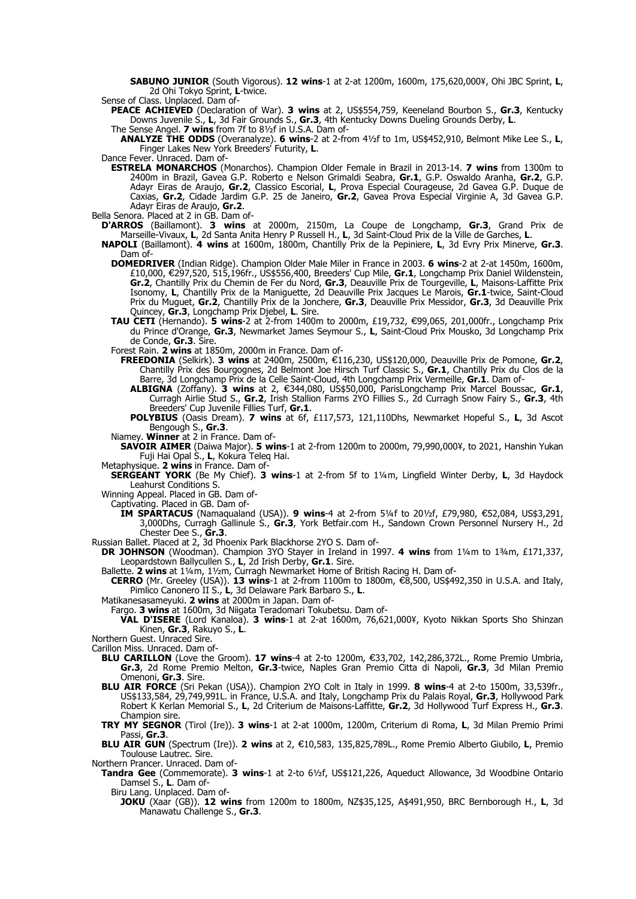**SABUNO JUNIOR** (South Vigorous). **12 wins**-1 at 2-at 1200m, 1600m, 175,620,000¥, Ohi JBC Sprint, **L**, 2d Ohi Tokyo Sprint, **L**-twice. Sense of Class. Unplaced. Dam of-

**PEACE ACHIEVED** (Declaration of War). **3 wins** at 2, US\$554,759, Keeneland Bourbon S., **Gr.3**, Kentucky Downs Juvenile S., **L**, 3d Fair Grounds S., **Gr.3**, 4th Kentucky Downs Dueling Grounds Derby, **L**.

The Sense Angel. **7 wins** from 7f to 8½f in U.S.A. Dam of-

**ANALYZE THE ODDS** (Overanalyze). **6 wins**-2 at 2-from 4½f to 1m, US\$452,910, Belmont Mike Lee S., **L**, Finger Lakes New York Breeders' Futurity, **L**.

Dance Fever. Unraced. Dam of-

**ESTRELA MONARCHOS** (Monarchos). Champion Older Female in Brazil in 2013-14. **7 wins** from 1300m to 2400m in Brazil, Gavea G.P. Roberto e Nelson Grimaldi Seabra, **Gr.1**, G.P. Oswaldo Aranha, **Gr.2**, G.P. Adayr Eiras de Araujo, **Gr.2**, Classico Escorial, **L**, Prova Especial Courageuse, 2d Gavea G.P. Duque de Caxias, **Gr.2**, Cidade Jardim G.P. 25 de Janeiro, **Gr.2**, Gavea Prova Especial Virginie A, 3d Gavea G.P. Adayr Eiras de Araujo, **Gr.2**.

Bella Senora. Placed at 2 in GB. Dam of-

**D'ARROS** (Baillamont). **3 wins** at 2000m, 2150m, La Coupe de Longchamp, **Gr.3**, Grand Prix de Marseille-Vivaux, **L**, 2d Santa Anita Henry P Russell H., **L**, 3d Saint-Cloud Prix de la Ville de Garches, **L**.

**NAPOLI** (Baillamont). **4 wins** at 1600m, 1800m, Chantilly Prix de la Pepiniere, **L**, 3d Evry Prix Minerve, **Gr.3**. Dam of-

- **DOMEDRIVER** (Indian Ridge). Champion Older Male Miler in France in 2003. **6 wins**-2 at 2-at 1450m, 1600m, £10,000, €297,520, 515,196fr., US\$556,400, Breeders' Cup Mile, Gr.1, Longchamp Prix Daniel Wildenstein, **Gr.2**, Chantilly Prix du Chemin de Fer du Nord, **Gr.3**, Deauville Prix de Tourgeville, **L**, Maisons-Laffitte Prix Isonomy, **L**, Chantilly Prix de la Maniguette, 2d Deauville Prix Jacques Le Marois, **Gr.1**-twice, Saint-Cloud Prix du Muguet, **Gr.2**, Chantilly Prix de la Jonchere, **Gr.3**, Deauville Prix Messidor, **Gr.3**, 3d Deauville Prix Quincey, **Gr.3**, Longchamp Prix Djebel, **L**. Sire.
- **TAU CETI** (Hernando). **5 wins**-2 at 2-from 1400m to 2000m, £19,732, €99,065, 201,000fr., Longchamp Prix du Prince d'Orange, **Gr.3**, Newmarket James Seymour S., **L**, Saint-Cloud Prix Mousko, 3d Longchamp Prix de Conde, **Gr.3**. Sire.

Forest Rain. **2 wins** at 1850m, 2000m in France. Dam of-

**FREEDONIA** (Selkirk). **3 wins** at 2400m, 2500m, €116,230, US\$120,000, Deauville Prix de Pomone, Gr.2, Chantilly Prix des Bourgognes, 2d Belmont Joe Hirsch Turf Classic S., **Gr.1**, Chantilly Prix du Clos de la Barre, 3d Longchamp Prix de la Celle Saint-Cloud, 4th Longchamp Prix Vermeille, **Gr.1**. Dam of-

**ALBIGNA** (Zoffany). **3 wins** at 2, €344,080, US\$50,000, ParisLongchamp Prix Marcel Boussac, Gr.1, Curragh Airlie Stud S., **Gr.2**, Irish Stallion Farms 2YO Fillies S., 2d Curragh Snow Fairy S., **Gr.3**, 4th Breeders' Cup Juvenile Fillies Turf, **Gr.1**.

**POLYBIUS** (Oasis Dream). **7 wins** at 6f, £117,573, 121,110Dhs, Newmarket Hopeful S., **L**, 3d Ascot Bengough S., **Gr.3**.

Niamey. **Winner** at 2 in France. Dam of-

**SAVOIR AIMER** (Daiwa Major). **5 wins**-1 at 2-from 1200m to 2000m, 79,990,000¥, to 2021, Hanshin Yukan Fuji Hai Opal S., **L**, Kokura Teleq Hai.

Metaphysique. **2 wins** in France. Dam of-

**SERGEANT YORK** (Be My Chief). **3 wins**-1 at 2-from 5f to 1¼m, Lingfield Winter Derby, **L**, 3d Haydock Leahurst Conditions S.

Winning Appeal. Placed in GB. Dam of-

Captivating. Placed in GB. Dam of-

**IM SPĀRTACUS** (Namaqualand (USA)). **9 wins**-4 at 2-from 5¼f to 201⁄2f, £79,980, €52,084, US\$3,291, 3,000Dhs, Curragh Gallinule S., **Gr.3**, York Betfair.com H., Sandown Crown Personnel Nursery H., 2d Chester Dee S., **Gr.3**.

Russian Ballet. Placed at 2, 3d Phoenix Park Blackhorse 2YO S. Dam of-

**DR JOHNSON** (Woodman). Champion 3YO Stayer in Ireland in 1997. **4 wins** from 1¼m to 1¾m, £171,337, Leopardstown Ballycullen S., **L**, 2d Irish Derby, **Gr.1**. Sire.

Ballette. **2 wins** at 1¼m, 1½m, Curragh Newmarket Home of British Racing H. Dam of-

**CERRO** (Mr. Greeley (USA)). **13 wins**-1 at 2-from 1100m to 1800m, €8,500, US\$492,350 in U.S.A. and Italy, Pimlico Canonero II S., **L**, 3d Delaware Park Barbaro S., **L**.

Matikanesasameyuki. **2 wins** at 2000m in Japan. Dam of-

Fargo. **3 wins** at 1600m, 3d Niigata Teradomari Tokubetsu. Dam of-

**VAL D'ISERE** (Lord Kanaloa). **3 wins**-1 at 2-at 1600m, 76,621,000¥, Kyoto Nikkan Sports Sho Shinzan Kinen, **Gr.3**, Rakuyo S., **L**.

Northern Guest. Unraced Sire.

Carillon Miss. Unraced. Dam of-

- **BLU CARILLON** (Love the Groom). 17 wins-4 at 2-to 1200m, €33,702, 142,286,372L., Rome Premio Umbria, **Gr.3**, 2d Rome Premio Melton, **Gr.3**-twice, Naples Gran Premio Citta di Napoli, **Gr.3**, 3d Milan Premio Omenoni, **Gr.3**. Sire.
- **BLU AIR FORCE** (Sri Pekan (USA)). Champion 2YO Colt in Italy in 1999. **8 wins**-4 at 2-to 1500m, 33,539fr., US\$133,584, 29,749,991L. in France, U.S.A. and Italy, Longchamp Prix du Palais Royal, Gr.3, Hollywood Park Robert K Kerlan Memorial S., **L**, 2d Criterium de Maisons-Laffitte, **Gr.2**, 3d Hollywood Turf Express H., **Gr.3**. Champion sire.

**TRY MY SEGNOR** (Tirol (Ire)). **3 wins**-1 at 2-at 1000m, 1200m, Criterium di Roma, **L**, 3d Milan Premio Primi Passi, **Gr.3**.

**BLU AIR GUN** (Spectrum (Ire)). 2 wins at 2, €10,583, 135,825,789L., Rome Premio Alberto Giubilo, L, Premio Toulouse Lautrec. Sire.

Northern Prancer. Unraced. Dam of-

**Tandra Gee** (Commemorate). **3 wins**-1 at 2-to 6½f, US\$121,226, Aqueduct Allowance, 3d Woodbine Ontario Damsel S., **L**. Dam of-

Biru Lang. Unplaced. Dam of-

**JOKU** (Xaar (GB)). **12 wins** from 1200m to 1800m, NZ\$35,125, A\$491,950, BRC Bernborough H., **L**, 3d Manawatu Challenge S., **Gr.3**.